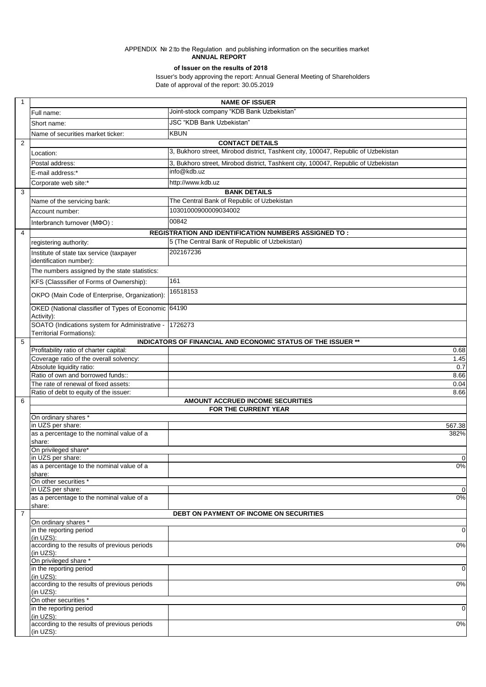## APPENDIX No 2 to the Regulation and publishing information on the securities market **ANNUAL REPORT**

## **оf Issuer on the results of 2018**

 Issuer's body approving the report: Annual General Meeting of Shareholders Date of approval of the report: 30.05.2019

| $\mathbf{1}$   |                                                                                                       |                                                                                    |                |
|----------------|-------------------------------------------------------------------------------------------------------|------------------------------------------------------------------------------------|----------------|
|                |                                                                                                       | <b>NAME OF ISSUER</b>                                                              |                |
|                | Full name:                                                                                            | Joint-stock company "KDB Bank Uzbekistan"                                          |                |
|                | Short name:                                                                                           | JSC "KDB Bank Uzbekistan"                                                          |                |
|                | Name of securities market ticker:                                                                     | <b>KBUN</b>                                                                        |                |
| 2              |                                                                                                       | <b>CONTACT DETAILS</b>                                                             |                |
|                | Location:                                                                                             | 3, Bukhoro street, Mirobod district, Tashkent city, 100047, Republic of Uzbekistan |                |
|                | Postal address:                                                                                       | 3, Bukhoro street, Mirobod district, Tashkent city, 100047, Republic of Uzbekistan |                |
|                | E-mail address:*                                                                                      | info@kdb.uz                                                                        |                |
|                | Corporate web site:*                                                                                  | http://www.kdb.uz                                                                  |                |
| 3              |                                                                                                       | <b>BANK DETAILS</b>                                                                |                |
|                | Name of the servicing bank:                                                                           | The Central Bank of Republic of Uzbekistan                                         |                |
|                | Account number:                                                                                       | 10301000900009034002                                                               |                |
|                | Interbranch turnover (MΦO):                                                                           | 00842                                                                              |                |
| $\overline{4}$ |                                                                                                       | REGISTRATION AND IDENTIFICATION NUMBERS ASSIGNED TO :                              |                |
|                | registering authority:                                                                                | 5 (The Central Bank of Republic of Uzbekistan)                                     |                |
|                | Institute of state tax service (taxpayer                                                              | 202167236                                                                          |                |
|                | identification number):<br>The numbers assigned by the state statistics:                              |                                                                                    |                |
|                | KFS (Classsifier of Forms of Ownership):                                                              | 161                                                                                |                |
|                |                                                                                                       | 16518153                                                                           |                |
|                | OKPO (Main Code of Enterprise, Organization):<br>OKED (National classifier of Types of Economic 64190 |                                                                                    |                |
|                | Activity):                                                                                            |                                                                                    |                |
|                | SOATO (Indications system for Administrative -<br>Territorial Formations):                            | 1726273                                                                            |                |
| 5              |                                                                                                       | INDICATORS OF FINANCIAL AND ECONOMIC STATUS OF THE ISSUER **                       |                |
|                | Profitability ratio of charter capital:                                                               |                                                                                    | 0.68           |
|                | Coverage ratio of the overall solvency:                                                               |                                                                                    | 1.45           |
|                | Absolute liquidity ratio:<br>Ratio of own and borrowed funds::                                        |                                                                                    | 0.7<br>8.66    |
|                | The rate of renewal of fixed assets:                                                                  |                                                                                    | 0.04           |
|                | Ratio of debt to equity of the issuer:                                                                |                                                                                    | 8.66           |
| 6              |                                                                                                       | AMOUNT ACCRUED INCOME SECURITIES                                                   |                |
|                |                                                                                                       | FOR THE CURRENT YEAR                                                               |                |
|                | On ordinary shares *                                                                                  |                                                                                    |                |
|                | in UZS per share:<br>as a percentage to the nominal value of a                                        |                                                                                    | 567.38<br>382% |
|                | share:                                                                                                |                                                                                    |                |
|                | On privileged share*                                                                                  |                                                                                    |                |
|                | in UZS per share:                                                                                     |                                                                                    | $\mathbf 0$    |
|                | as a percentage to the nominal value of a<br>share:                                                   |                                                                                    | 0%             |
|                | On other securities *                                                                                 |                                                                                    |                |
|                | in UZS per share:                                                                                     |                                                                                    | $\mathbf 0$    |
|                | as a percentage to the nominal value of a<br>share:                                                   |                                                                                    | 0%             |
| $\overline{7}$ |                                                                                                       | DEBT ON PAYMENT OF INCOME ON SECURITIES                                            |                |
|                | On ordinary shares *                                                                                  |                                                                                    |                |
|                | in the reporting period                                                                               |                                                                                    | $\mathbf 0$    |
|                | (in UZS):<br>according to the results of previous periods                                             |                                                                                    | 0%             |
|                | (in UZS):<br>On privileged share *                                                                    |                                                                                    |                |
|                | in the reporting period<br>(in UZS):                                                                  |                                                                                    | $\mathbf 0$    |
|                | according to the results of previous periods<br>(in UZS):                                             |                                                                                    | 0%             |
|                | On other securities *                                                                                 |                                                                                    |                |
|                | in the reporting period<br>(in UZS):                                                                  |                                                                                    | $\mathbf 0$    |
|                | according to the results of previous periods                                                          |                                                                                    | 0%             |
|                | (in UZS):                                                                                             |                                                                                    |                |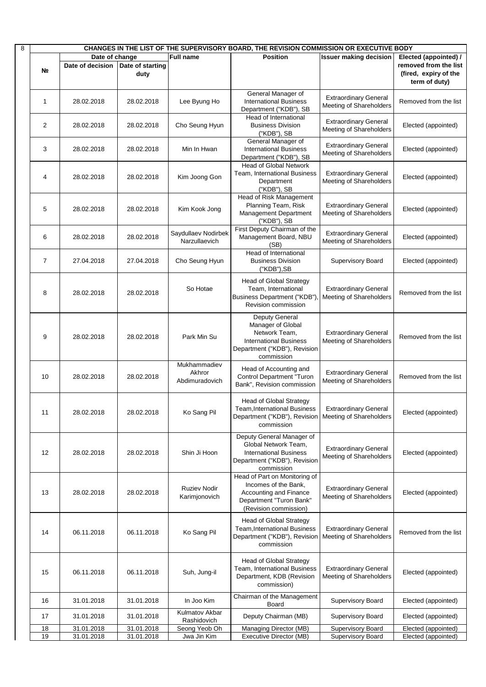| 8 | CHANGES IN THE LIST OF THE SUPERVISORY BOARD, THE REVISION COMMISSION OR EXECUTIVE BODY |                  |                  |                                      |                                                                      |                                                                |                       |
|---|-----------------------------------------------------------------------------------------|------------------|------------------|--------------------------------------|----------------------------------------------------------------------|----------------------------------------------------------------|-----------------------|
|   |                                                                                         | Date of change   |                  | Full name                            | <b>Position</b>                                                      | <b>Issuer making decision</b>                                  | Elected (appointed) / |
|   |                                                                                         | Date of decision | Date of starting |                                      |                                                                      |                                                                | removed from the list |
|   | Nº                                                                                      |                  | duty             |                                      |                                                                      |                                                                | (fired, expiry of the |
|   |                                                                                         |                  |                  |                                      |                                                                      |                                                                | term of duty)         |
|   |                                                                                         |                  |                  |                                      | General Manager of                                                   |                                                                |                       |
|   | 1                                                                                       | 28.02.2018       | 28.02.2018       | Lee Byung Ho                         | <b>International Business</b>                                        | <b>Extraordinary General</b><br>Meeting of Shareholders        | Removed from the list |
|   |                                                                                         |                  |                  |                                      | Department ("KDB"), SB                                               |                                                                |                       |
|   |                                                                                         |                  |                  |                                      | Head of International                                                | <b>Extraordinary General</b>                                   |                       |
|   | 2                                                                                       | 28.02.2018       | 28.02.2018       | Cho Seung Hyun                       | <b>Business Division</b>                                             | Meeting of Shareholders                                        | Elected (appointed)   |
|   |                                                                                         |                  |                  |                                      | ("KDB"), SB<br>General Manager of                                    |                                                                |                       |
|   | 3                                                                                       | 28.02.2018       | 28.02.2018       | Min In Hwan                          | <b>International Business</b>                                        | <b>Extraordinary General</b>                                   | Elected (appointed)   |
|   |                                                                                         |                  |                  |                                      | Department ("KDB"), SB                                               | Meeting of Shareholders                                        |                       |
|   |                                                                                         |                  |                  |                                      | <b>Head of Global Network</b>                                        |                                                                |                       |
|   | 4                                                                                       | 28.02.2018       | 28.02.2018       | Kim Joong Gon                        | Team, International Business                                         | <b>Extraordinary General</b>                                   | Elected (appointed)   |
|   |                                                                                         |                  |                  |                                      | Department                                                           | Meeting of Shareholders                                        |                       |
|   |                                                                                         |                  |                  |                                      | ("KDB"), SB                                                          |                                                                |                       |
|   |                                                                                         |                  |                  |                                      | Head of Risk Management<br>Planning Team, Risk                       | <b>Extraordinary General</b>                                   |                       |
|   | 5                                                                                       | 28.02.2018       | 28.02.2018       | Kim Kook Jong                        | Management Department                                                | Meeting of Shareholders                                        | Elected (appointed)   |
|   |                                                                                         |                  |                  |                                      | ("KDB"), SB                                                          |                                                                |                       |
|   |                                                                                         |                  |                  |                                      | First Deputy Chairman of the                                         |                                                                |                       |
|   | 6                                                                                       | 28.02.2018       | 28.02.2018       | Saydullaev Nodirbek<br>Narzullaevich | Management Board, NBU                                                | <b>Extraordinary General</b><br>Meeting of Shareholders        | Elected (appointed)   |
|   |                                                                                         |                  |                  |                                      | (SB)                                                                 |                                                                |                       |
|   |                                                                                         |                  |                  |                                      | Head of International                                                |                                                                |                       |
|   | 7                                                                                       | 27.04.2018       | 27.04.2018       | Cho Seung Hyun                       | <b>Business Division</b>                                             | Supervisory Board                                              | Elected (appointed)   |
|   |                                                                                         |                  |                  |                                      | ("KDB"),SB                                                           |                                                                |                       |
|   |                                                                                         |                  |                  |                                      | <b>Head of Global Strategy</b>                                       |                                                                |                       |
|   | 8                                                                                       | 28.02.2018       | 28.02.2018       | So Hotae                             | Team, International<br><b>Business Department ("KDB")</b>            | <b>Extraordinary General</b>                                   | Removed from the list |
|   |                                                                                         |                  |                  |                                      | Revision commission                                                  | <b>Meeting of Shareholders</b>                                 |                       |
|   |                                                                                         |                  |                  |                                      |                                                                      |                                                                |                       |
|   |                                                                                         |                  |                  |                                      | Deputy General                                                       |                                                                |                       |
|   |                                                                                         |                  |                  |                                      | Manager of Global                                                    |                                                                |                       |
|   | 9                                                                                       | 28.02.2018       | 28.02.2018       | Park Min Su                          | Network Team,<br><b>International Business</b>                       | <b>Extraordinary General</b><br><b>Meeting of Shareholders</b> | Removed from the list |
|   |                                                                                         |                  |                  |                                      | Department ("KDB"), Revision                                         |                                                                |                       |
|   |                                                                                         |                  |                  |                                      | commission                                                           |                                                                |                       |
|   |                                                                                         |                  |                  | Mukhammadiev                         | Head of Accounting and                                               |                                                                |                       |
|   | 10                                                                                      | 28.02.2018       | 28.02.2018       | Akhror                               | <b>Control Department "Turon</b>                                     | <b>Extraordinary General</b>                                   | Removed from the list |
|   |                                                                                         |                  |                  | Abdimuradovich                       | Bank", Revision commission                                           | Meeting of Shareholders                                        |                       |
|   |                                                                                         |                  |                  |                                      |                                                                      |                                                                |                       |
|   |                                                                                         |                  |                  |                                      | <b>Head of Global Strategy</b>                                       |                                                                |                       |
|   | 11                                                                                      | 28.02.2018       | 28.02.2018       | Ko Sang Pil                          | <b>Team, International Business</b>                                  | <b>Extraordinary General</b>                                   | Elected (appointed)   |
|   |                                                                                         |                  |                  |                                      | Department ("KDB"), Revision   Meeting of Shareholders<br>commission |                                                                |                       |
|   |                                                                                         |                  |                  |                                      |                                                                      |                                                                |                       |
|   |                                                                                         |                  |                  |                                      | Deputy General Manager of                                            |                                                                |                       |
|   | 12                                                                                      | 28.02.2018       | 28.02.2018       | Shin Ji Hoon                         | Global Network Team,<br><b>International Business</b>                | <b>Extraordinary General</b>                                   | Elected (appointed)   |
|   |                                                                                         |                  |                  |                                      | Department ("KDB"), Revision                                         | Meeting of Shareholders                                        |                       |
|   |                                                                                         |                  |                  |                                      | commission                                                           |                                                                |                       |
|   |                                                                                         |                  |                  |                                      | Head of Part on Monitoring of                                        |                                                                |                       |
|   |                                                                                         |                  |                  | <b>Ruziev Nodir</b>                  | Incomes of the Bank,                                                 | <b>Extraordinary General</b>                                   |                       |
|   | 13                                                                                      | 28.02.2018       | 28.02.2018       | Karimjonovich                        | Accounting and Finance                                               | Meeting of Shareholders                                        | Elected (appointed)   |
|   |                                                                                         |                  |                  |                                      | Department "Turon Bank"<br>(Revision commission)                     |                                                                |                       |
|   |                                                                                         |                  |                  |                                      |                                                                      |                                                                |                       |
|   |                                                                                         |                  |                  |                                      | <b>Head of Global Strategy</b>                                       |                                                                |                       |
|   | 14                                                                                      | 06.11.2018       | 06.11.2018       | Ko Sang Pil                          | <b>Team, International Business</b>                                  | <b>Extraordinary General</b>                                   | Removed from the list |
|   |                                                                                         |                  |                  |                                      | Department ("KDB"), Revision<br>commission                           | <b>Meeting of Shareholders</b>                                 |                       |
|   |                                                                                         |                  |                  |                                      |                                                                      |                                                                |                       |
|   |                                                                                         |                  |                  |                                      | <b>Head of Global Strategy</b>                                       |                                                                |                       |
|   |                                                                                         |                  |                  |                                      | Team, International Business                                         | <b>Extraordinary General</b>                                   |                       |
|   | 15                                                                                      | 06.11.2018       | 06.11.2018       | Suh, Jung-il                         | Department, KDB (Revision                                            | Meeting of Shareholders                                        | Elected (appointed)   |
|   |                                                                                         |                  |                  |                                      | commission)                                                          |                                                                |                       |
|   |                                                                                         |                  |                  |                                      | Chairman of the Management                                           |                                                                |                       |
|   | 16                                                                                      | 31.01.2018       | 31.01.2018       | In Joo Kim                           | Board                                                                | <b>Supervisory Board</b>                                       | Elected (appointed)   |
|   | 17                                                                                      | 31.01.2018       | 31.01.2018       | Kulmatov Akbar                       | Deputy Chairman (MB)                                                 | <b>Supervisory Board</b>                                       | Elected (appointed)   |
|   |                                                                                         |                  |                  | Rashidovich                          |                                                                      |                                                                |                       |
|   | 18<br>19                                                                                | 31.01.2018       | 31.01.2018       | Seong Yeob Oh                        | Managing Director (MB)                                               | <b>Supervisory Board</b>                                       | Elected (appointed)   |
|   |                                                                                         | 31.01.2018       | 31.01.2018       | Jwa Jin Kim                          | Executive Director (MB)                                              | Supervisory Board                                              | Elected (appointed)   |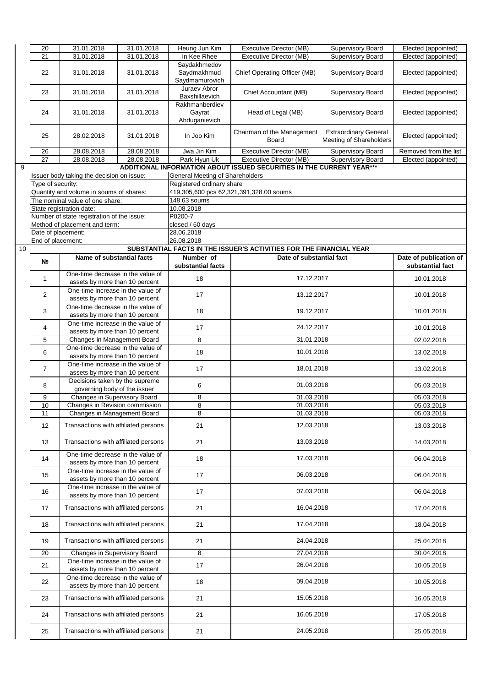|    | 20                 | 31.01.2018                                 | 31.01.2018 | Heung Jun Kim                          | Executive Director (MB)                                               | Supervisory Board            | Elected (appointed)    |
|----|--------------------|--------------------------------------------|------------|----------------------------------------|-----------------------------------------------------------------------|------------------------------|------------------------|
|    |                    |                                            |            |                                        |                                                                       |                              |                        |
|    | 21                 | 31.01.2018                                 | 31.01.2018 | In Kee Rhee                            | Executive Director (MB)                                               | Supervisory Board            | Elected (appointed)    |
|    |                    |                                            |            | Savdakhmedov                           |                                                                       |                              |                        |
|    | 22                 | 31.01.2018                                 | 31.01.2018 | Saydmakhmud                            | Chief Operating Officer (MB)                                          | <b>Supervisory Board</b>     | Elected (appointed)    |
|    |                    |                                            |            | Saydmamurovich                         |                                                                       |                              |                        |
|    |                    |                                            |            | Juraev Abror                           |                                                                       |                              |                        |
|    | 23                 | 31.01.2018                                 | 31.01.2018 | Baxshillaevich                         | Chief Accountant (MB)                                                 | <b>Supervisory Board</b>     | Elected (appointed)    |
|    |                    |                                            |            | Rakhmanberdiev                         |                                                                       |                              |                        |
|    |                    |                                            |            |                                        |                                                                       |                              |                        |
|    | 24                 | 31.01.2018                                 | 31.01.2018 | Gayrat                                 | Head of Legal (MB)                                                    | <b>Supervisory Board</b>     | Elected (appointed)    |
|    |                    |                                            |            | Abduganievich                          |                                                                       |                              |                        |
|    |                    |                                            |            |                                        | Chairman of the Management                                            | <b>Extraordinary General</b> |                        |
|    | 25                 | 28.02.2018                                 | 31.01.2018 | In Joo Kim                             | Board                                                                 | Meeting of Shareholders      | Elected (appointed)    |
|    |                    |                                            |            |                                        |                                                                       |                              |                        |
|    | 26                 | 28.08.2018                                 | 28.08.2018 | Jwa Jin Kim                            | Executive Director (MB)                                               | Supervisory Board            | Removed from the list  |
|    | 27                 | 28.08.2018                                 | 28.08.2018 | Park Hyun Uk                           | Executive Director (MB)                                               | <b>Supervisory Board</b>     | Elected (appointed)    |
| 9  |                    |                                            |            |                                        | ADDITIONAL INFORMATION ABOUT ISSUED SECURITIES IN THE CURRENT YEAR*** |                              |                        |
|    |                    |                                            |            |                                        |                                                                       |                              |                        |
|    |                    | Issuer body taking the decision on issue:  |            | <b>General Meeting of Shareholders</b> |                                                                       |                              |                        |
|    | Type of security:  |                                            |            | Registered ordinary share              |                                                                       |                              |                        |
|    |                    | Quantity and volume in soums of shares:    |            |                                        | 419,305,600 pcs 62,321,391,328.00 soums                               |                              |                        |
|    |                    | The nominal value of one share:            |            | 148.63 soums                           |                                                                       |                              |                        |
|    |                    | State registration date:                   |            | 10.08.2018                             |                                                                       |                              |                        |
|    |                    | Number of state registration of the issue: |            | P0200-7                                |                                                                       |                              |                        |
|    |                    | Method of placement and term:              |            | closed / 60 days                       |                                                                       |                              |                        |
|    |                    |                                            |            |                                        |                                                                       |                              |                        |
|    | Date of placement: |                                            |            | 28.06.2018                             |                                                                       |                              |                        |
|    | End of placement:  |                                            |            | 26.08.2018                             |                                                                       |                              |                        |
| 10 |                    |                                            |            |                                        | SUBSTANTIAL FACTS IN THE ISSUER'S ACTIVITIES FOR THE FINANCIAL YEAR   |                              |                        |
|    |                    | Name of substantial facts                  |            | Number of                              | Date of substantial fact                                              |                              | Date of publication of |
|    | Nº.                |                                            |            | substantial facts                      |                                                                       |                              | substantial fact       |
|    |                    | One-time decrease in the value of          |            |                                        |                                                                       |                              |                        |
|    | 1                  |                                            |            | 18                                     | 17.12.2017                                                            |                              | 10.01.2018             |
|    |                    | assets by more than 10 percent             |            |                                        |                                                                       |                              |                        |
|    | 2                  | One-time increase in the value of          |            | 17                                     | 13.12.2017                                                            |                              | 10.01.2018             |
|    |                    | assets by more than 10 percent             |            |                                        |                                                                       |                              |                        |
|    |                    | One-time decrease in the value of          |            |                                        |                                                                       |                              |                        |
|    | 3                  | assets by more than 10 percent             |            | 18                                     | 19.12.2017                                                            |                              | 10.01.2018             |
|    |                    | One-time increase in the value of          |            |                                        |                                                                       |                              |                        |
|    | 4                  |                                            |            | 17                                     | 24.12.2017                                                            |                              | 10.01.2018             |
|    |                    | assets by more than 10 percent             |            |                                        |                                                                       |                              |                        |
|    | 5                  | Changes in Management Board                |            | 8                                      | 31.01.2018                                                            |                              | 02.02.2018             |
|    | 6                  | One-time decrease in the value of          |            | 18                                     | 10.01.2018                                                            |                              | 13.02.2018             |
|    |                    | assets by more than 10 percent             |            |                                        |                                                                       |                              |                        |
|    |                    | One-time increase in the value of          |            |                                        |                                                                       |                              |                        |
|    | $\overline{7}$     | assets by more than 10 percent             |            | 17                                     | 18.01.2018                                                            |                              | 13.02.2018             |
|    |                    | Decisions taken by the supreme             |            |                                        |                                                                       |                              |                        |
|    | 8                  |                                            |            | 6                                      | 01.03.2018                                                            |                              | 05.03.2018             |
|    |                    | governing body of the issuer               |            |                                        |                                                                       |                              |                        |
|    | 9                  | Changes in Supervisory Board               |            | 8                                      | 01.03.2018                                                            |                              | 05.03.2018             |
|    | 10                 | Changes in Revision commission             |            | 8                                      | 01.03.2018                                                            |                              | 05.03.2018             |
|    | 11                 | Changes in Management Board                |            | 8                                      | 01.03.2018                                                            |                              | 05.03.2018             |
|    |                    |                                            |            |                                        |                                                                       |                              |                        |
|    | 12                 | Transactions with affiliated persons       |            | 21                                     | 12.03.2018                                                            |                              | 13.03.2018             |
|    |                    |                                            |            |                                        |                                                                       |                              |                        |
|    | 13                 | Transactions with affiliated persons       |            | 21                                     | 13.03.2018                                                            |                              | 14.03.2018             |
|    |                    |                                            |            |                                        |                                                                       |                              |                        |
|    | 14                 | One-time decrease in the value of          |            | 18                                     | 17.03.2018                                                            |                              | 06.04.2018             |
|    |                    | assets by more than 10 percent             |            |                                        |                                                                       |                              |                        |
|    |                    | One-time increase in the value of          |            |                                        |                                                                       |                              |                        |
|    | 15                 | assets by more than 10 percent             |            | 17                                     | 06.03.2018                                                            |                              | 06.04.2018             |
|    |                    | One-time increase in the value of          |            |                                        |                                                                       |                              |                        |
|    | 16                 |                                            |            | 17                                     | 07.03.2018                                                            |                              | 06.04.2018             |
|    |                    | assets by more than 10 percent             |            |                                        |                                                                       |                              |                        |
|    | 17                 | Transactions with affiliated persons       |            | 21                                     | 16.04.2018                                                            |                              | 17.04.2018             |
|    |                    |                                            |            |                                        |                                                                       |                              |                        |
|    |                    |                                            |            |                                        |                                                                       |                              |                        |
|    | 18                 | Transactions with affiliated persons       |            | 21                                     | 17.04.2018                                                            |                              | 18.04.2018             |
|    |                    |                                            |            |                                        |                                                                       |                              |                        |
|    | 19                 | Transactions with affiliated persons       |            | 21                                     | 24.04.2018                                                            |                              | 25.04.2018             |
|    |                    |                                            |            |                                        |                                                                       |                              |                        |
|    | 20                 | Changes in Supervisory Board               |            | 8                                      | 27.04.2018                                                            |                              | 30.04.2018             |
|    | 21                 | One-time increase in the value of          |            | 17                                     | 26.04.2018                                                            |                              | 10.05.2018             |
|    |                    | assets by more than 10 percent             |            |                                        |                                                                       |                              |                        |
|    |                    | One-time decrease in the value of          |            |                                        |                                                                       |                              |                        |
|    | 22                 | assets by more than 10 percent             |            | 18                                     | 09.04.2018                                                            |                              | 10.05.2018             |
|    |                    |                                            |            |                                        |                                                                       |                              |                        |
|    | 23                 | Transactions with affiliated persons       |            | 21                                     | 15.05.2018                                                            |                              | 16.05.2018             |
|    |                    |                                            |            |                                        |                                                                       |                              |                        |
|    | 24                 | Transactions with affiliated persons       |            | 21                                     | 16.05.2018                                                            |                              | 17.05.2018             |
|    |                    |                                            |            |                                        |                                                                       |                              |                        |
|    |                    | Transactions with affiliated persons       |            |                                        | 24.05.2018                                                            |                              |                        |
|    | 25                 |                                            |            | 21                                     |                                                                       |                              | 25.05.2018             |
|    |                    |                                            |            |                                        |                                                                       |                              |                        |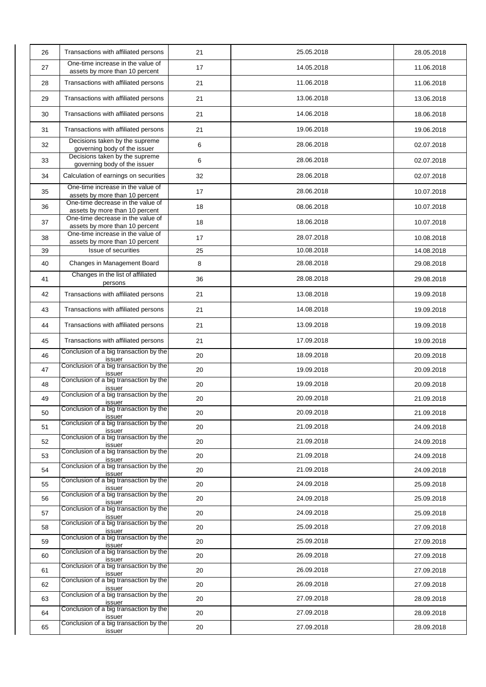| 26 | Transactions with affiliated persons                                | 21 | 25.05.2018 | 28.05.2018 |
|----|---------------------------------------------------------------------|----|------------|------------|
| 27 | One-time increase in the value of<br>assets by more than 10 percent | 17 | 14.05.2018 | 11.06.2018 |
| 28 | Transactions with affiliated persons                                | 21 | 11.06.2018 | 11.06.2018 |
| 29 | Transactions with affiliated persons                                | 21 | 13.06.2018 | 13.06.2018 |
| 30 | Transactions with affiliated persons                                | 21 | 14.06.2018 | 18.06.2018 |
| 31 | Transactions with affiliated persons                                | 21 | 19.06.2018 | 19.06.2018 |
| 32 | Decisions taken by the supreme<br>governing body of the issuer      | 6  | 28.06.2018 | 02.07.2018 |
| 33 | Decisions taken by the supreme<br>governing body of the issuer      | 6  | 28.06.2018 | 02.07.2018 |
| 34 | Calculation of earnings on securities                               | 32 | 28.06.2018 | 02.07.2018 |
| 35 | One-time increase in the value of                                   | 17 | 28.06.2018 | 10.07.2018 |
| 36 | assets by more than 10 percent<br>One-time decrease in the value of | 18 | 08.06.2018 | 10.07.2018 |
| 37 | assets by more than 10 percent<br>One-time decrease in the value of | 18 | 18.06.2018 | 10.07.2018 |
| 38 | assets by more than 10 percent<br>One-time increase in the value of | 17 | 28.07.2018 | 10.08.2018 |
| 39 | assets by more than 10 percent<br>Issue of securities               | 25 | 10.08.2018 | 14.08.2018 |
|    |                                                                     |    |            |            |
| 40 | Changes in Management Board<br>Changes in the list of affiliated    | 8  | 28.08.2018 | 29.08.2018 |
| 41 | persons                                                             | 36 | 28.08.2018 | 29.08.2018 |
| 42 | Transactions with affiliated persons                                | 21 | 13.08.2018 | 19.09.2018 |
| 43 | Transactions with affiliated persons                                | 21 | 14.08.2018 | 19.09.2018 |
| 44 | Transactions with affiliated persons                                | 21 | 13.09.2018 | 19.09.2018 |
| 45 | Transactions with affiliated persons                                | 21 | 17.09.2018 | 19.09.2018 |
| 46 | Conclusion of a big transaction by the<br>issuer                    | 20 | 18.09.2018 | 20.09.2018 |
| 47 | Conclusion of a big transaction by the<br>issuer                    | 20 | 19.09.2018 | 20.09.2018 |
| 48 | Conclusion of a big transaction by the<br>issuer                    | 20 | 19.09.2018 | 20.09.2018 |
| 49 | Conclusion of a big transaction by the<br>issuer                    | 20 | 20.09.2018 | 21.09.2018 |
| 50 | Conclusion of a big transaction by the<br>issuer                    | 20 | 20.09.2018 | 21.09.2018 |
| 51 | Conclusion of a big transaction by the<br>issuer                    | 20 | 21.09.2018 | 24.09.2018 |
| 52 | Conclusion of a big transaction by the<br>issuer                    | 20 | 21.09.2018 | 24.09.2018 |
| 53 | Conclusion of a big transaction by the<br>issuer                    | 20 | 21.09.2018 | 24.09.2018 |
| 54 | Conclusion of a big transaction by the<br>issuer                    | 20 | 21.09.2018 | 24.09.2018 |
| 55 | Conclusion of a big transaction by the<br>issuer                    | 20 | 24.09.2018 | 25.09.2018 |
| 56 | Conclusion of a big transaction by the<br>issuer                    | 20 | 24.09.2018 | 25.09.2018 |
| 57 | Conclusion of a big transaction by the<br>issuer                    | 20 | 24.09.2018 | 25.09.2018 |
| 58 | Conclusion of a big transaction by the<br>issuer                    | 20 | 25.09.2018 | 27.09.2018 |
| 59 | Conclusion of a big transaction by the<br>issuer                    | 20 | 25.09.2018 | 27.09.2018 |
| 60 | Conclusion of a big transaction by the<br>issuer                    | 20 | 26.09.2018 | 27.09.2018 |
| 61 | Conclusion of a big transaction by the<br>issuer                    | 20 | 26.09.2018 | 27.09.2018 |
| 62 | Conclusion of a big transaction by the<br>issuer                    | 20 | 26.09.2018 | 27.09.2018 |
| 63 | Conclusion of a big transaction by the<br>issuer                    | 20 | 27.09.2018 | 28.09.2018 |
| 64 | Conclusion of a big transaction by the<br>issuer                    | 20 | 27.09.2018 | 28.09.2018 |
| 65 | Conclusion of a big transaction by the<br>issuer                    | 20 | 27.09.2018 | 28.09.2018 |
|    |                                                                     |    |            |            |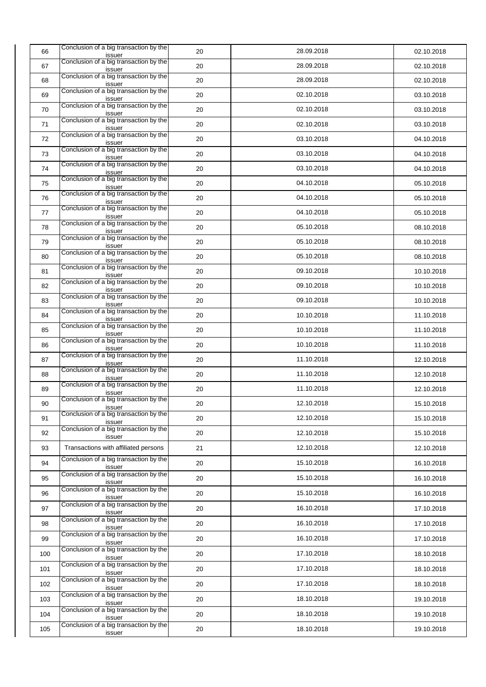| 66  | Conclusion of a big transaction by the<br>issuer | 20 | 28.09.2018 | 02.10.2018 |
|-----|--------------------------------------------------|----|------------|------------|
| 67  | Conclusion of a big transaction by the<br>issuer | 20 | 28.09.2018 | 02.10.2018 |
| 68  | Conclusion of a big transaction by the<br>issuer | 20 | 28.09.2018 | 02.10.2018 |
| 69  | Conclusion of a big transaction by the<br>issuer | 20 | 02.10.2018 | 03.10.2018 |
| 70  | Conclusion of a big transaction by the<br>issuer | 20 | 02.10.2018 | 03.10.2018 |
| 71  | Conclusion of a big transaction by the<br>issuer | 20 | 02.10.2018 | 03.10.2018 |
| 72  | Conclusion of a big transaction by the<br>issuer | 20 | 03.10.2018 | 04.10.2018 |
| 73  | Conclusion of a big transaction by the<br>issuer | 20 | 03.10.2018 | 04.10.2018 |
| 74  | Conclusion of a big transaction by the<br>issuer | 20 | 03.10.2018 | 04.10.2018 |
| 75  | Conclusion of a big transaction by the<br>issuer | 20 | 04.10.2018 | 05.10.2018 |
| 76  | Conclusion of a big transaction by the<br>issuer | 20 | 04.10.2018 | 05.10.2018 |
| 77  | Conclusion of a big transaction by the<br>issuer | 20 | 04.10.2018 | 05.10.2018 |
| 78  | Conclusion of a big transaction by the<br>issuer | 20 | 05.10.2018 | 08.10.2018 |
| 79  | Conclusion of a big transaction by the<br>issuer | 20 | 05.10.2018 | 08.10.2018 |
| 80  | Conclusion of a big transaction by the<br>issuer | 20 | 05.10.2018 | 08.10.2018 |
| 81  | Conclusion of a big transaction by the<br>issuer | 20 | 09.10.2018 | 10.10.2018 |
| 82  | Conclusion of a big transaction by the<br>issuer | 20 | 09.10.2018 | 10.10.2018 |
| 83  | Conclusion of a big transaction by the<br>issuer | 20 | 09.10.2018 | 10.10.2018 |
| 84  | Conclusion of a big transaction by the<br>issuer | 20 | 10.10.2018 | 11.10.2018 |
| 85  | Conclusion of a big transaction by the<br>issuer | 20 | 10.10.2018 | 11.10.2018 |
| 86  | Conclusion of a big transaction by the<br>issuer | 20 | 10.10.2018 | 11.10.2018 |
| 87  | Conclusion of a big transaction by the<br>issuer | 20 | 11.10.2018 | 12.10.2018 |
| 88  | Conclusion of a big transaction by the<br>issuer | 20 | 11.10.2018 | 12.10.2018 |
| 89  | Conclusion of a big transaction by the<br>issuer | 20 | 11.10.2018 | 12.10.2018 |
| 90  | Conclusion of a big transaction by the<br>issuer | 20 | 12.10.2018 | 15.10.2018 |
| 91  | Conclusion of a big transaction by the<br>issuer | 20 | 12.10.2018 | 15.10.2018 |
| 92  | Conclusion of a big transaction by the<br>issuer | 20 | 12.10.2018 | 15.10.2018 |
| 93  | Transactions with affiliated persons             | 21 | 12.10.2018 | 12.10.2018 |
| 94  | Conclusion of a big transaction by the<br>issuer | 20 | 15.10.2018 | 16.10.2018 |
| 95  | Conclusion of a big transaction by the<br>issuer | 20 | 15.10.2018 | 16.10.2018 |
| 96  | Conclusion of a big transaction by the<br>issuer | 20 | 15.10.2018 | 16.10.2018 |
| 97  | Conclusion of a big transaction by the<br>issuer | 20 | 16.10.2018 | 17.10.2018 |
| 98  | Conclusion of a big transaction by the<br>issuer | 20 | 16.10.2018 | 17.10.2018 |
| 99  | Conclusion of a big transaction by the<br>issuer | 20 | 16.10.2018 | 17.10.2018 |
| 100 | Conclusion of a big transaction by the<br>issuer | 20 | 17.10.2018 | 18.10.2018 |
| 101 | Conclusion of a big transaction by the<br>issuer | 20 | 17.10.2018 | 18.10.2018 |
| 102 | Conclusion of a big transaction by the<br>issuer | 20 | 17.10.2018 | 18.10.2018 |
| 103 | Conclusion of a big transaction by the<br>issuer | 20 | 18.10.2018 | 19.10.2018 |
| 104 | Conclusion of a big transaction by the<br>issuer | 20 | 18.10.2018 | 19.10.2018 |
| 105 | Conclusion of a big transaction by the<br>issuer | 20 | 18.10.2018 | 19.10.2018 |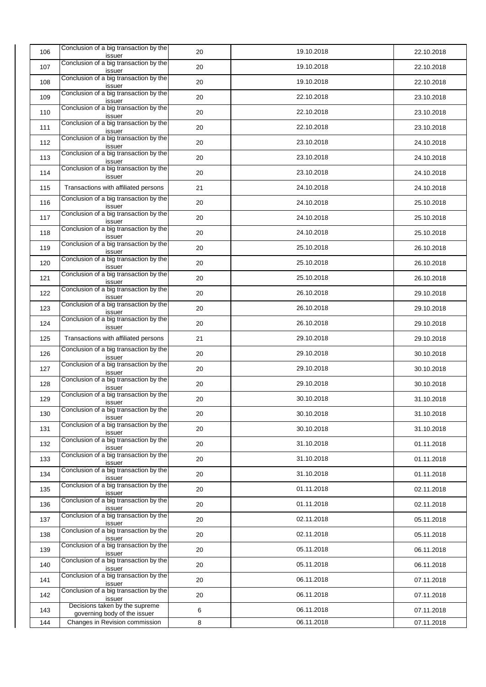| 106 | Conclusion of a big transaction by the<br>issuer               | 20 | 19.10.2018 | 22.10.2018 |
|-----|----------------------------------------------------------------|----|------------|------------|
| 107 | Conclusion of a big transaction by the<br>issuer               | 20 | 19.10.2018 | 22.10.2018 |
| 108 | Conclusion of a big transaction by the<br>issuer               | 20 | 19.10.2018 | 22.10.2018 |
| 109 | Conclusion of a big transaction by the<br>issuer               | 20 | 22.10.2018 | 23.10.2018 |
| 110 | Conclusion of a big transaction by the<br>issuer               | 20 | 22.10.2018 | 23.10.2018 |
| 111 | Conclusion of a big transaction by the<br>issuer               | 20 | 22.10.2018 | 23.10.2018 |
| 112 | Conclusion of a big transaction by the<br>issuer               | 20 | 23.10.2018 | 24.10.2018 |
| 113 | Conclusion of a big transaction by the<br>issuer               | 20 | 23.10.2018 | 24.10.2018 |
| 114 | Conclusion of a big transaction by the<br>issuer               | 20 | 23.10.2018 | 24.10.2018 |
| 115 | Transactions with affiliated persons                           | 21 | 24.10.2018 | 24.10.2018 |
| 116 | Conclusion of a big transaction by the<br>issuer               | 20 | 24.10.2018 | 25.10.2018 |
| 117 | Conclusion of a big transaction by the<br>issuer               | 20 | 24.10.2018 | 25.10.2018 |
| 118 | Conclusion of a big transaction by the<br>issuer               | 20 | 24.10.2018 | 25.10.2018 |
| 119 | Conclusion of a big transaction by the<br>issuer               | 20 | 25.10.2018 | 26.10.2018 |
| 120 | Conclusion of a big transaction by the<br>issuer               | 20 | 25.10.2018 | 26.10.2018 |
| 121 | Conclusion of a big transaction by the<br>issuer               | 20 | 25.10.2018 | 26.10.2018 |
| 122 | Conclusion of a big transaction by the<br>issuer               | 20 | 26.10.2018 | 29.10.2018 |
| 123 | Conclusion of a big transaction by the<br>issuer               | 20 | 26.10.2018 | 29.10.2018 |
| 124 | Conclusion of a big transaction by the<br>issuer               | 20 | 26.10.2018 | 29.10.2018 |
| 125 | Transactions with affiliated persons                           | 21 | 29.10.2018 | 29.10.2018 |
| 126 | Conclusion of a big transaction by the<br>issuer               | 20 | 29.10.2018 | 30.10.2018 |
| 127 | Conclusion of a big transaction by the<br>issuer               | 20 | 29.10.2018 | 30.10.2018 |
| 128 | Conclusion of a big transaction by the<br>issuer               | 20 | 29.10.2018 | 30.10.2018 |
| 129 | Conclusion of a big transaction by the<br>issuer               | 20 | 30.10.2018 | 31.10.2018 |
| 130 | Conclusion of a big transaction by the<br>issuer               | 20 | 30.10.2018 | 31.10.2018 |
| 131 | Conclusion of a big transaction by the<br>issuer               | 20 | 30.10.2018 | 31.10.2018 |
| 132 | Conclusion of a big transaction by the<br>issuer               | 20 | 31.10.2018 | 01.11.2018 |
| 133 | Conclusion of a big transaction by the<br>issuer               | 20 | 31.10.2018 | 01.11.2018 |
| 134 | Conclusion of a big transaction by the<br>issuer               | 20 | 31.10.2018 | 01.11.2018 |
| 135 | Conclusion of a big transaction by the<br>issuer               | 20 | 01.11.2018 | 02.11.2018 |
| 136 | Conclusion of a big transaction by the<br>issuer               | 20 | 01.11.2018 | 02.11.2018 |
| 137 | Conclusion of a big transaction by the<br>issuer               | 20 | 02.11.2018 | 05.11.2018 |
| 138 | Conclusion of a big transaction by the<br>issuer               | 20 | 02.11.2018 | 05.11.2018 |
| 139 | Conclusion of a big transaction by the<br>issuer               | 20 | 05.11.2018 | 06.11.2018 |
| 140 | Conclusion of a big transaction by the<br>issuer               | 20 | 05.11.2018 | 06.11.2018 |
| 141 | Conclusion of a big transaction by the<br>issuer               | 20 | 06.11.2018 | 07.11.2018 |
| 142 | Conclusion of a big transaction by the<br>issuer               | 20 | 06.11.2018 | 07.11.2018 |
| 143 | Decisions taken by the supreme<br>governing body of the issuer | 6  | 06.11.2018 | 07.11.2018 |
| 144 | Changes in Revision commission                                 | 8  | 06.11.2018 | 07.11.2018 |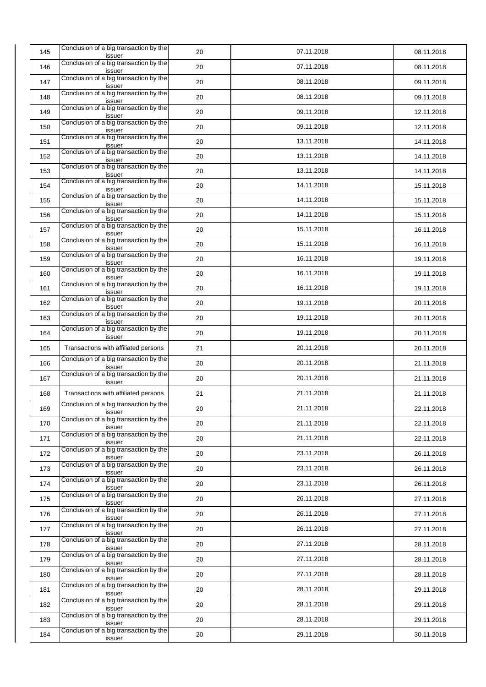| 145 | Conclusion of a big transaction by the<br>issuer | 20 | 07.11.2018 | 08.11.2018 |
|-----|--------------------------------------------------|----|------------|------------|
| 146 | Conclusion of a big transaction by the<br>issuer | 20 | 07.11.2018 | 08.11.2018 |
| 147 | Conclusion of a big transaction by the<br>issuer | 20 | 08.11.2018 | 09.11.2018 |
| 148 | Conclusion of a big transaction by the<br>issuer | 20 | 08.11.2018 | 09.11.2018 |
| 149 | Conclusion of a big transaction by the<br>issuer | 20 | 09.11.2018 | 12.11.2018 |
| 150 | Conclusion of a big transaction by the<br>issuer | 20 | 09.11.2018 | 12.11.2018 |
| 151 | Conclusion of a big transaction by the<br>issuer | 20 | 13.11.2018 | 14.11.2018 |
| 152 | Conclusion of a big transaction by the<br>issuer | 20 | 13.11.2018 | 14.11.2018 |
| 153 | Conclusion of a big transaction by the<br>issuer | 20 | 13.11.2018 | 14.11.2018 |
| 154 | Conclusion of a big transaction by the<br>issuer | 20 | 14.11.2018 | 15.11.2018 |
| 155 | Conclusion of a big transaction by the<br>issuer | 20 | 14.11.2018 | 15.11.2018 |
| 156 | Conclusion of a big transaction by the<br>issuer | 20 | 14.11.2018 | 15.11.2018 |
| 157 | Conclusion of a big transaction by the<br>issuer | 20 | 15.11.2018 | 16.11.2018 |
| 158 | Conclusion of a big transaction by the<br>issuer | 20 | 15.11.2018 | 16.11.2018 |
| 159 | Conclusion of a big transaction by the<br>issuer | 20 | 16.11.2018 | 19.11.2018 |
| 160 | Conclusion of a big transaction by the<br>issuer | 20 | 16.11.2018 | 19.11.2018 |
| 161 | Conclusion of a big transaction by the<br>issuer | 20 | 16.11.2018 | 19.11.2018 |
| 162 | Conclusion of a big transaction by the<br>issuer | 20 | 19.11.2018 | 20.11.2018 |
| 163 | Conclusion of a big transaction by the<br>issuer | 20 | 19.11.2018 | 20.11.2018 |
| 164 | Conclusion of a big transaction by the<br>issuer | 20 | 19.11.2018 | 20.11.2018 |
| 165 | Transactions with affiliated persons             | 21 | 20.11.2018 | 20.11.2018 |
| 166 | Conclusion of a big transaction by the<br>issuer | 20 | 20.11.2018 | 21.11.2018 |
| 167 | Conclusion of a big transaction by the<br>issuer | 20 | 20.11.2018 | 21.11.2018 |
| 168 | Transactions with affiliated persons             | 21 | 21.11.2018 | 21.11.2018 |
| 169 | Conclusion of a big transaction by the<br>issuer | 20 | 21.11.2018 | 22.11.2018 |
| 170 | Conclusion of a big transaction by the<br>issuer | 20 | 21.11.2018 | 22.11.2018 |
| 171 | Conclusion of a big transaction by the<br>issuer | 20 | 21.11.2018 | 22.11.2018 |
| 172 | Conclusion of a big transaction by the<br>issuer | 20 | 23.11.2018 | 26.11.2018 |
| 173 | Conclusion of a big transaction by the<br>issuer | 20 | 23.11.2018 | 26.11.2018 |
| 174 | Conclusion of a big transaction by the<br>issuer | 20 | 23.11.2018 | 26.11.2018 |
| 175 | Conclusion of a big transaction by the<br>issuer | 20 | 26.11.2018 | 27.11.2018 |
| 176 | Conclusion of a big transaction by the<br>issuer | 20 | 26.11.2018 | 27.11.2018 |
| 177 | Conclusion of a big transaction by the<br>issuer | 20 | 26.11.2018 | 27.11.2018 |
| 178 | Conclusion of a big transaction by the<br>issuer | 20 | 27.11.2018 | 28.11.2018 |
| 179 | Conclusion of a big transaction by the<br>issuer | 20 | 27.11.2018 | 28.11.2018 |
| 180 | Conclusion of a big transaction by the<br>issuer | 20 | 27.11.2018 | 28.11.2018 |
| 181 | Conclusion of a big transaction by the<br>issuer | 20 | 28.11.2018 | 29.11.2018 |
| 182 | Conclusion of a big transaction by the<br>issuer | 20 | 28.11.2018 | 29.11.2018 |
| 183 | Conclusion of a big transaction by the<br>issuer | 20 | 28.11.2018 | 29.11.2018 |
| 184 | Conclusion of a big transaction by the<br>issuer | 20 | 29.11.2018 | 30.11.2018 |
|     |                                                  |    |            |            |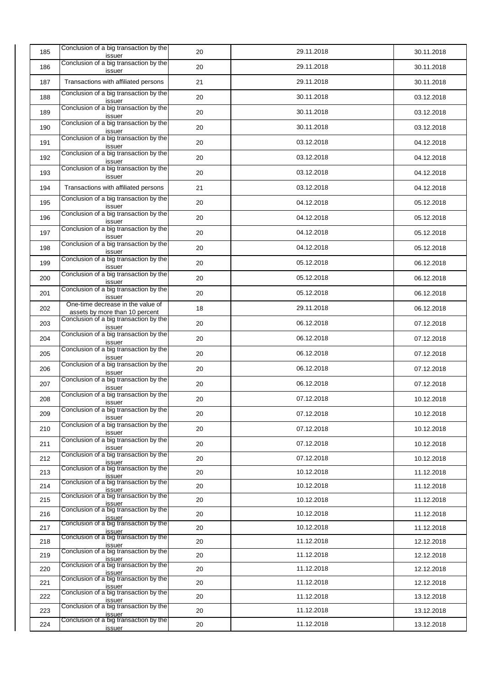| 185 | Conclusion of a big transaction by the<br>issuer                                           | 20 | 29.11.2018 | 30.11.2018 |
|-----|--------------------------------------------------------------------------------------------|----|------------|------------|
| 186 | Conclusion of a big transaction by the<br>issuer                                           | 20 | 29.11.2018 | 30.11.2018 |
| 187 | Transactions with affiliated persons                                                       | 21 | 29.11.2018 | 30.11.2018 |
| 188 | Conclusion of a big transaction by the<br>issuer                                           | 20 | 30.11.2018 | 03.12.2018 |
| 189 | Conclusion of a big transaction by the<br>issuer                                           | 20 | 30.11.2018 | 03.12.2018 |
| 190 | Conclusion of a big transaction by the<br>issuer                                           | 20 | 30.11.2018 | 03.12.2018 |
| 191 | Conclusion of a big transaction by the<br>issuer                                           | 20 | 03.12.2018 | 04.12.2018 |
| 192 | Conclusion of a big transaction by the<br>issuer                                           | 20 | 03.12.2018 | 04.12.2018 |
| 193 | Conclusion of a big transaction by the<br>issuer                                           | 20 | 03.12.2018 | 04.12.2018 |
| 194 | Transactions with affiliated persons                                                       | 21 | 03.12.2018 | 04.12.2018 |
| 195 | Conclusion of a big transaction by the<br>issuer                                           | 20 | 04.12.2018 | 05.12.2018 |
| 196 | Conclusion of a big transaction by the<br>issuer                                           | 20 | 04.12.2018 | 05.12.2018 |
| 197 | Conclusion of a big transaction by the<br>issuer                                           | 20 | 04.12.2018 | 05.12.2018 |
| 198 | Conclusion of a big transaction by the<br>issuer                                           | 20 | 04.12.2018 | 05.12.2018 |
| 199 | Conclusion of a big transaction by the<br>issuer                                           | 20 | 05.12.2018 | 06.12.2018 |
| 200 | Conclusion of a big transaction by the<br>issuer                                           | 20 | 05.12.2018 | 06.12.2018 |
| 201 | Conclusion of a big transaction by the<br>issuer                                           | 20 | 05.12.2018 | 06.12.2018 |
| 202 | One-time decrease in the value of<br>assets by more than 10 percent                        | 18 | 29.11.2018 | 06.12.2018 |
| 203 | Conclusion of a big transaction by the<br>issuer                                           | 20 | 06.12.2018 | 07.12.2018 |
| 204 | Conclusion of a big transaction by the<br>issuer                                           | 20 | 06.12.2018 | 07.12.2018 |
| 205 | Conclusion of a big transaction by the<br>issuer                                           | 20 | 06.12.2018 | 07.12.2018 |
| 206 | Conclusion of a big transaction by the<br>issuer                                           | 20 | 06.12.2018 | 07.12.2018 |
| 207 | Conclusion of a big transaction by the<br>issuer                                           | 20 | 06.12.2018 | 07.12.2018 |
| 208 | Conclusion of a big transaction by the<br>issuer                                           | 20 | 07.12.2018 | 10.12.2018 |
| 209 | Conclusion of a big transaction by the<br>issuer                                           | 20 | 07.12.2018 | 10.12.2018 |
| 210 | Conclusion of a big transaction by the<br>issuer                                           | 20 | 07.12.2018 | 10.12.2018 |
| 211 | Conclusion of a big transaction by the<br>issuer                                           | 20 | 07.12.2018 | 10.12.2018 |
| 212 | Conclusion of a big transaction by the<br>issuer                                           | 20 | 07.12.2018 | 10.12.2018 |
| 213 | Conclusion of a big transaction by the<br>issuer                                           | 20 | 10.12.2018 | 11.12.2018 |
| 214 | Conclusion of a big transaction by the<br>issuer                                           | 20 | 10.12.2018 | 11.12.2018 |
| 215 | Conclusion of a big transaction by the<br>issuer                                           | 20 | 10.12.2018 | 11.12.2018 |
| 216 | Conclusion of a big transaction by the<br>issuer                                           | 20 | 10.12.2018 | 11.12.2018 |
| 217 | Conclusion of a big transaction by the<br>issuer                                           | 20 | 10.12.2018 | 11.12.2018 |
| 218 | Conclusion of a big transaction by the<br>issuer<br>Conclusion of a big transaction by the | 20 | 11.12.2018 | 12.12.2018 |
| 219 | issuer<br>Conclusion of a big transaction by the                                           | 20 | 11.12.2018 | 12.12.2018 |
| 220 | issuer<br>Conclusion of a big transaction by the                                           | 20 | 11.12.2018 | 12.12.2018 |
| 221 | issuer                                                                                     | 20 | 11.12.2018 | 12.12.2018 |
| 222 | Conclusion of a big transaction by the<br>issuer                                           | 20 | 11.12.2018 | 13.12.2018 |
| 223 | Conclusion of a big transaction by the<br>issuer                                           | 20 | 11.12.2018 | 13.12.2018 |
| 224 | Conclusion of a big transaction by the<br>issuer                                           | 20 | 11.12.2018 | 13.12.2018 |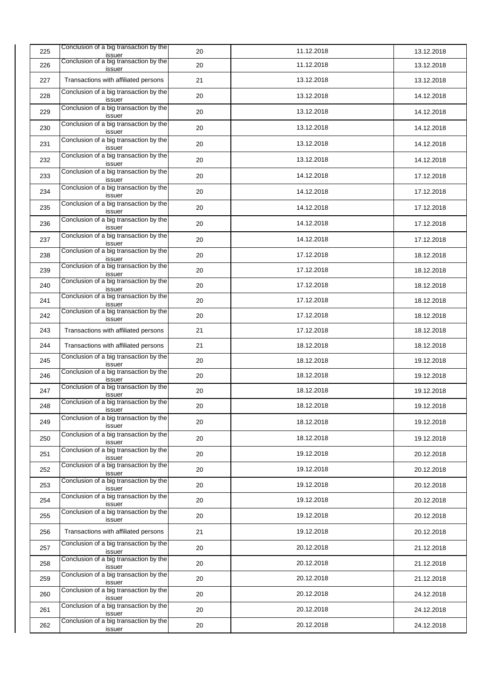| 225 | Conclusion of a big transaction by the<br>issuer | 20 | 11.12.2018 | 13.12.2018 |
|-----|--------------------------------------------------|----|------------|------------|
| 226 | Conclusion of a big transaction by the<br>issuer | 20 | 11.12.2018 | 13.12.2018 |
| 227 | Transactions with affiliated persons             | 21 | 13.12.2018 | 13.12.2018 |
| 228 | Conclusion of a big transaction by the<br>issuer | 20 | 13.12.2018 | 14.12.2018 |
| 229 | Conclusion of a big transaction by the<br>issuer | 20 | 13.12.2018 | 14.12.2018 |
| 230 | Conclusion of a big transaction by the<br>issuer | 20 | 13.12.2018 | 14.12.2018 |
| 231 | Conclusion of a big transaction by the<br>issuer | 20 | 13.12.2018 | 14.12.2018 |
| 232 | Conclusion of a big transaction by the<br>issuer | 20 | 13.12.2018 | 14.12.2018 |
| 233 | Conclusion of a big transaction by the<br>issuer | 20 | 14.12.2018 | 17.12.2018 |
| 234 | Conclusion of a big transaction by the<br>issuer | 20 | 14.12.2018 | 17.12.2018 |
| 235 | Conclusion of a big transaction by the<br>issuer | 20 | 14.12.2018 | 17.12.2018 |
| 236 | Conclusion of a big transaction by the<br>issuer | 20 | 14.12.2018 | 17.12.2018 |
| 237 | Conclusion of a big transaction by the<br>issuer | 20 | 14.12.2018 | 17.12.2018 |
| 238 | Conclusion of a big transaction by the<br>issuer | 20 | 17.12.2018 | 18.12.2018 |
| 239 | Conclusion of a big transaction by the<br>issuer | 20 | 17.12.2018 | 18.12.2018 |
| 240 | Conclusion of a big transaction by the<br>issuer | 20 | 17.12.2018 | 18.12.2018 |
| 241 | Conclusion of a big transaction by the<br>issuer | 20 | 17.12.2018 | 18.12.2018 |
| 242 | Conclusion of a big transaction by the<br>issuer | 20 | 17.12.2018 | 18.12.2018 |
| 243 | Transactions with affiliated persons             | 21 | 17.12.2018 | 18.12.2018 |
| 244 | Transactions with affiliated persons             | 21 | 18.12.2018 | 18.12.2018 |
| 245 | Conclusion of a big transaction by the<br>issuer | 20 | 18.12.2018 | 19.12.2018 |
| 246 | Conclusion of a big transaction by the<br>issuer | 20 | 18.12.2018 | 19.12.2018 |
| 247 | Conclusion of a big transaction by the<br>issuer | 20 | 18.12.2018 | 19.12.2018 |
| 248 | Conclusion of a big transaction by the<br>issuer | 20 | 18.12.2018 | 19.12.2018 |
| 249 | Conclusion of a big transaction by the<br>issuer | 20 | 18.12.2018 | 19.12.2018 |
| 250 | Conclusion of a big transaction by the<br>issuer | 20 | 18.12.2018 | 19.12.2018 |
| 251 | Conclusion of a big transaction by the<br>issuer | 20 | 19.12.2018 | 20.12.2018 |
| 252 | Conclusion of a big transaction by the<br>issuer | 20 | 19.12.2018 | 20.12.2018 |
| 253 | Conclusion of a big transaction by the<br>issuer | 20 | 19.12.2018 | 20.12.2018 |
| 254 | Conclusion of a big transaction by the<br>issuer | 20 | 19.12.2018 | 20.12.2018 |
| 255 | Conclusion of a big transaction by the<br>issuer | 20 | 19.12.2018 | 20.12.2018 |
| 256 | Transactions with affiliated persons             | 21 | 19.12.2018 | 20.12.2018 |
| 257 | Conclusion of a big transaction by the<br>issuer | 20 | 20.12.2018 | 21.12.2018 |
| 258 | Conclusion of a big transaction by the<br>issuer | 20 | 20.12.2018 | 21.12.2018 |
| 259 | Conclusion of a big transaction by the<br>issuer | 20 | 20.12.2018 | 21.12.2018 |
| 260 | Conclusion of a big transaction by the<br>issuer | 20 | 20.12.2018 | 24.12.2018 |
| 261 | Conclusion of a big transaction by the<br>issuer | 20 | 20.12.2018 | 24.12.2018 |
| 262 | Conclusion of a big transaction by the<br>issuer | 20 | 20.12.2018 | 24.12.2018 |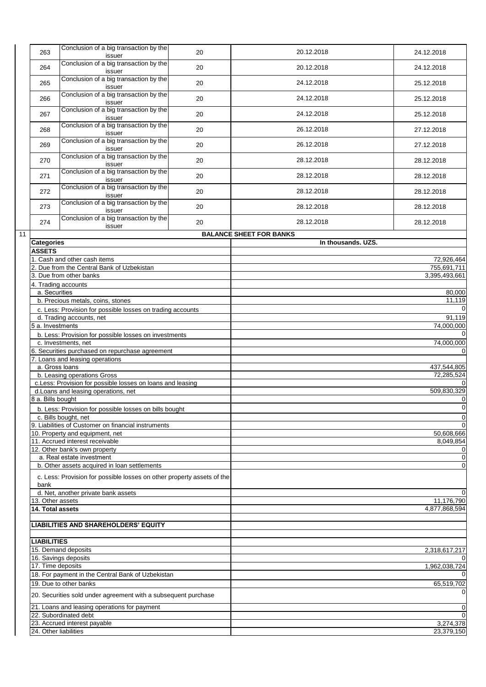|    | 263                                                                                                                                     | Conclusion of a big transaction by the<br>issuer                       | 20 | 20.12.2018                     | 24.12.2018              |
|----|-----------------------------------------------------------------------------------------------------------------------------------------|------------------------------------------------------------------------|----|--------------------------------|-------------------------|
|    | 264                                                                                                                                     | Conclusion of a big transaction by the<br>issuer                       | 20 | 20.12.2018                     | 24.12.2018              |
|    | 265                                                                                                                                     | Conclusion of a big transaction by the<br>issuer                       | 20 | 24.12.2018                     | 25.12.2018              |
|    | 266                                                                                                                                     | Conclusion of a big transaction by the<br>issuer                       | 20 | 24.12.2018                     | 25.12.2018              |
|    | 267                                                                                                                                     | Conclusion of a big transaction by the<br>issuer                       | 20 | 24.12.2018                     | 25.12.2018              |
|    | 268                                                                                                                                     | Conclusion of a big transaction by the<br>issuer                       | 20 | 26.12.2018                     | 27.12.2018              |
|    | 269                                                                                                                                     | Conclusion of a big transaction by the<br>issuer                       | 20 | 26.12.2018                     | 27.12.2018              |
|    | 270                                                                                                                                     | Conclusion of a big transaction by the<br>issuer                       | 20 | 28.12.2018                     | 28.12.2018              |
|    | 271                                                                                                                                     | Conclusion of a big transaction by the<br>issuer                       | 20 | 28.12.2018                     | 28.12.2018              |
|    | 272                                                                                                                                     | Conclusion of a big transaction by the<br>issuer                       | 20 | 28.12.2018                     | 28.12.2018              |
|    | 273                                                                                                                                     | Conclusion of a big transaction by the<br>issuer                       | 20 | 28.12.2018                     | 28.12.2018              |
|    | 274                                                                                                                                     | Conclusion of a big transaction by the                                 | 20 | 28.12.2018                     | 28.12.2018              |
| 11 |                                                                                                                                         | issuer                                                                 |    | <b>BALANCE SHEET FOR BANKS</b> |                         |
|    | Categories                                                                                                                              |                                                                        |    | In thousands. UZS.             |                         |
|    | <b>ASSETS</b>                                                                                                                           |                                                                        |    |                                |                         |
|    |                                                                                                                                         | Cash and other cash items                                              |    |                                | 72,926,464              |
|    |                                                                                                                                         | 2. Due from the Central Bank of Uzbekistan                             |    |                                | 755,691,711             |
|    |                                                                                                                                         | 3. Due from other banks                                                |    |                                | 3,395,493,661           |
|    | 4. Trading accounts<br>a. Securities<br>b. Precious metals, coins, stones<br>c. Less: Provision for possible losses on trading accounts |                                                                        |    |                                |                         |
|    |                                                                                                                                         |                                                                        |    | 80,000                         |                         |
|    |                                                                                                                                         |                                                                        |    | 11,119                         |                         |
|    |                                                                                                                                         |                                                                        |    | C                              |                         |
|    |                                                                                                                                         |                                                                        |    |                                |                         |
|    |                                                                                                                                         | d. Trading accounts, net                                               |    |                                | 91,119                  |
|    |                                                                                                                                         | 5 a. Investments                                                       |    |                                | $\overline{74,000,000}$ |
|    |                                                                                                                                         | b. Less: Provision for possible losses on investments                  |    |                                |                         |
|    |                                                                                                                                         | c. Investments, net                                                    |    |                                | 74,000,000              |
|    |                                                                                                                                         | 6. Securities purchased on repurchase agreement                        |    |                                | C                       |
|    |                                                                                                                                         | 7. Loans and leasing operations                                        |    |                                |                         |
|    | a. Gross loans                                                                                                                          |                                                                        |    |                                | 437,544,805             |
|    |                                                                                                                                         |                                                                        |    |                                |                         |
|    |                                                                                                                                         | b. Leasing operations Gross                                            |    |                                | 72,285,524              |
|    |                                                                                                                                         | c.Less: Provision for possible losses on loans and leasing             |    |                                |                         |
|    |                                                                                                                                         | d.Loans and leasing operations, net                                    |    |                                | 509,830,329             |
|    | 8 a. Bills bought                                                                                                                       |                                                                        |    |                                | C                       |
|    |                                                                                                                                         | b. Less: Provision for possible losses on bills bought                 |    |                                | C                       |
|    |                                                                                                                                         | c. Bills bought, net                                                   |    |                                | C                       |
|    |                                                                                                                                         | 9. Liabilities of Customer on financial instruments                    |    |                                | C                       |
|    |                                                                                                                                         |                                                                        |    |                                |                         |
|    |                                                                                                                                         | 10. Property and equipment, net                                        |    |                                | 50,608,666              |
|    |                                                                                                                                         | 11. Accrued interest receivable                                        |    |                                | 8,049,854               |
|    |                                                                                                                                         | 12. Other bank's own property                                          |    |                                | C                       |
|    |                                                                                                                                         | a. Real estate investment                                              |    |                                | C                       |
|    |                                                                                                                                         | b. Other assets acquired in loan settlements                           |    |                                | C                       |
|    | bank                                                                                                                                    | c. Less: Provision for possible losses on other property assets of the |    |                                |                         |
|    |                                                                                                                                         | d. Net, another private bank assets                                    |    |                                | C                       |
|    | 13. Other assets                                                                                                                        |                                                                        |    |                                | 11,176,790              |
|    | 14. Total assets                                                                                                                        |                                                                        |    |                                | 4,877,868,594           |
|    |                                                                                                                                         |                                                                        |    |                                |                         |
|    |                                                                                                                                         | LIABILITIES AND SHAREHOLDERS' EQUITY                                   |    |                                |                         |
|    |                                                                                                                                         |                                                                        |    |                                |                         |
|    |                                                                                                                                         |                                                                        |    |                                |                         |
|    | <b>LIABILITIES</b>                                                                                                                      |                                                                        |    |                                |                         |
|    |                                                                                                                                         | 15. Demand deposits                                                    |    |                                | 2,318,617,217           |
|    | 16. Savings deposits                                                                                                                    |                                                                        |    |                                |                         |
|    | 17. Time deposits                                                                                                                       |                                                                        |    |                                | 1,962,038,724           |
|    |                                                                                                                                         | 18. For payment in the Central Bank of Uzbekistan                      |    |                                |                         |
|    |                                                                                                                                         |                                                                        |    |                                |                         |
|    |                                                                                                                                         | 19. Due to other banks                                                 |    |                                | 65,519,702              |
|    |                                                                                                                                         | 20. Securities sold under agreement with a subsequent purchase         |    |                                |                         |
|    |                                                                                                                                         | 21. Loans and leasing operations for payment                           |    |                                | C                       |
|    |                                                                                                                                         | 22. Subordinated debt                                                  |    |                                | C                       |
|    |                                                                                                                                         | 23. Accrued interest payable                                           |    |                                | 3,274,378               |
|    | 24. Other liabilities                                                                                                                   |                                                                        |    |                                | 23,379,150              |
|    |                                                                                                                                         |                                                                        |    |                                |                         |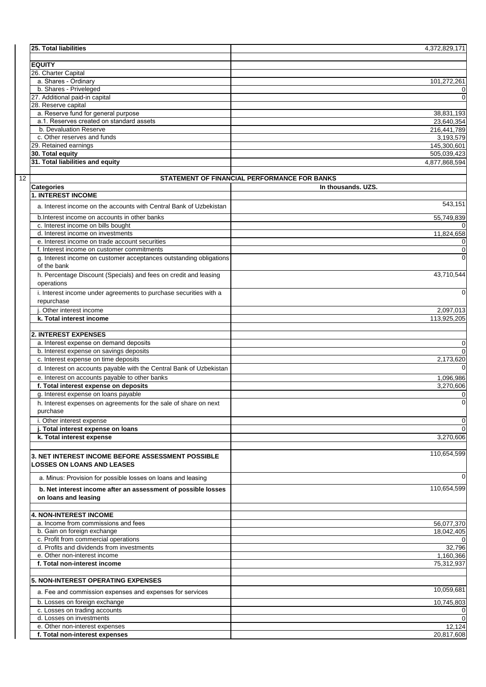| <b>25. Total liabilities</b>             | 4,372,829,171 |
|------------------------------------------|---------------|
|                                          |               |
| <b>EQUITY</b>                            |               |
| 26. Charter Capital                      |               |
| a. Shares - Ordinary                     | 101,272,261   |
| b. Shares - Priveleged                   | 0             |
| 27. Additional paid-in capital           | 0             |
| 28. Reserve capital                      |               |
| a. Reserve fund for general purpose      | 38,831,193    |
| a.1. Reserves created on standard assets | 23,640,354    |
| b. Devaluation Reserve                   | 216,441,789   |
| c. Other reserves and funds              | 3,193,579     |
| 29. Retained earnings                    | 145,300,601   |
| 30. Total equity                         | 505,039,423   |
| 31. Total liabilities and equity         | 4,877,868,594 |
|                                          |               |

12

|                                                                                        | STATEMENT OF FINANCIAL PERFORMANCE FOR BANKS |
|----------------------------------------------------------------------------------------|----------------------------------------------|
| <b>Categories</b>                                                                      | In thousands, UZS.                           |
| <b>1. INTEREST INCOME</b>                                                              |                                              |
| a. Interest income on the accounts with Central Bank of Uzbekistan                     | 543,151                                      |
| b.Interest income on accounts in other banks                                           | 55,749,839                                   |
| c. Interest income on bills bought                                                     | 0                                            |
| d. Interest income on investments                                                      | 11,824,658                                   |
| e. Interest income on trade account securities                                         | 0                                            |
| f. Interest income on customer commitments                                             | $\mathbf 0$                                  |
| g. Interest income on customer acceptances outstanding obligations<br>of the bank      | $\Omega$                                     |
| h. Percentage Discount (Specials) and fees on credit and leasing<br>operations         | 43,710,544                                   |
| i. Interest income under agreements to purchase securities with a<br>repurchase        | 0                                            |
| i. Other interest income                                                               | 2,097,013                                    |
| k. Total interest income                                                               | 113,925,205                                  |
|                                                                                        |                                              |
| <b>2. INTEREST EXPENSES</b>                                                            |                                              |
| a. Interest expense on demand deposits                                                 | 0                                            |
| b. Interest expense on savings deposits                                                | $\Omega$                                     |
| c. Interest expense on time deposits                                                   | 2,173,620                                    |
| d. Interest on accounts payable with the Central Bank of Uzbekistan                    | 0                                            |
| e. Interest on accounts payable to other banks                                         | 1,096,986                                    |
| f. Total interest expense on deposits                                                  | 3,270,606                                    |
| g. Interest expense on loans payable                                                   | 0                                            |
| h. Interest expenses on agreements for the sale of share on next<br>purchase           | $\mathbf 0$                                  |
| i. Other interest expense                                                              | 0                                            |
| j. Total interest expense on loans                                                     | $\Omega$                                     |
| k. Total interest expense                                                              | 3,270,606                                    |
|                                                                                        |                                              |
| 3. NET INTEREST INCOME BEFORE ASSESSMENT POSSIBLE<br><b>LOSSES ON LOANS AND LEASES</b> | 110,654,599                                  |
| a. Minus: Provision for possible losses on loans and leasing                           | $\mathbf 0$                                  |
| b. Net interest income after an assessment of possible losses<br>on loans and leasing  | 110,654,599                                  |
| <b>4. NON-INTEREST INCOME</b>                                                          |                                              |
| a. Income from commissions and fees                                                    | 56,077,370                                   |
| b. Gain on foreign exchange                                                            | 18,042,405                                   |
| c. Profit from commercial operations                                                   | $\mathbf 0$                                  |
| d. Profits and dividends from investments                                              | 32,796                                       |
| e. Other non-interest income                                                           | 1,160,366                                    |
| f. Total non-interest income                                                           | 75,312,937                                   |
| <b>5. NON-INTEREST OPERATING EXPENSES</b>                                              |                                              |
| a. Fee and commission expenses and expenses for services                               | 10,059,681                                   |
| b. Losses on foreign exchange                                                          | 10,745,803                                   |
| c. Losses on trading accounts                                                          | 0                                            |
| d. Losses on investments                                                               | $\mathbf 0$                                  |
| e. Other non-interest expenses                                                         | 12,124                                       |
| f. Total non-interest expenses                                                         | 20,817,608                                   |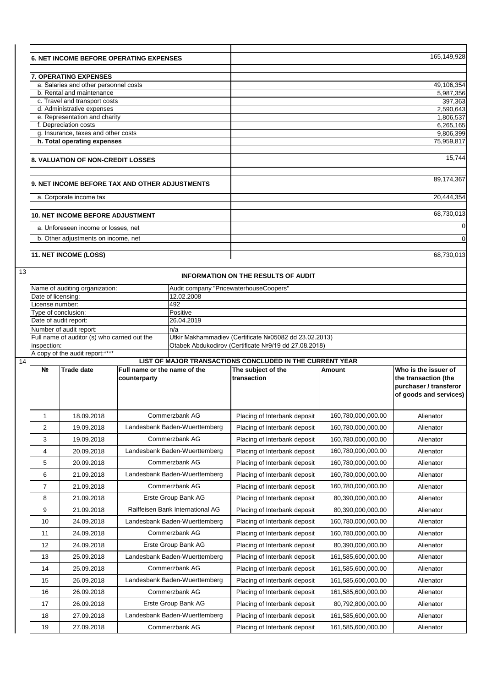|    | <b>6. NET INCOME BEFORE OPERATING EXPENSES</b> |                                                                    |                                                | 165,149,928                           |                                                              |                                         |                                              |
|----|------------------------------------------------|--------------------------------------------------------------------|------------------------------------------------|---------------------------------------|--------------------------------------------------------------|-----------------------------------------|----------------------------------------------|
|    |                                                |                                                                    |                                                |                                       |                                                              |                                         |                                              |
|    |                                                | <b>7. OPERATING EXPENSES</b>                                       |                                                |                                       |                                                              |                                         |                                              |
|    |                                                | a. Salaries and other personnel costs                              |                                                |                                       |                                                              |                                         | 49,106,354                                   |
|    |                                                | b. Rental and maintenance<br>c. Travel and transport costs         |                                                |                                       |                                                              |                                         | 5,987,356<br>397,363                         |
|    |                                                | d. Administrative expenses                                         |                                                |                                       |                                                              |                                         | 2,590,643                                    |
|    |                                                | e. Representation and charity                                      |                                                |                                       |                                                              |                                         | 1,806,537                                    |
|    |                                                | f. Depreciation costs                                              |                                                |                                       |                                                              |                                         | 6,265,165                                    |
|    |                                                | g. Insurance, taxes and other costs<br>h. Total operating expenses |                                                |                                       |                                                              |                                         | 9,806,399<br>75,959,817                      |
|    |                                                |                                                                    |                                                |                                       |                                                              |                                         |                                              |
|    |                                                | 8. VALUATION OF NON-CREDIT LOSSES                                  |                                                |                                       |                                                              |                                         | 15,744                                       |
|    |                                                |                                                                    | 9. NET INCOME BEFORE TAX AND OTHER ADJUSTMENTS |                                       |                                                              |                                         | 89,174,367                                   |
|    |                                                | a. Corporate income tax                                            |                                                |                                       |                                                              |                                         | 20,444,354                                   |
|    |                                                | <b>10. NET INCOME BEFORE ADJUSTMENT</b>                            |                                                |                                       |                                                              |                                         | 68,730,013                                   |
|    |                                                | a. Unforeseen income or losses, net                                |                                                |                                       |                                                              |                                         | $\Omega$                                     |
|    |                                                | b. Other adjustments on income, net                                |                                                |                                       |                                                              |                                         | $\Omega$                                     |
|    |                                                | 11. NET INCOME (LOSS)                                              |                                                |                                       |                                                              |                                         | 68,730,013                                   |
| 13 |                                                |                                                                    |                                                |                                       | <b>INFORMATION ON THE RESULTS OF AUDIT</b>                   |                                         |                                              |
|    |                                                | Name of auditing organization:                                     |                                                |                                       | Audit company "PricewaterhouseCoopers"                       |                                         |                                              |
|    | Date of licensing:                             |                                                                    |                                                | 12.02.2008                            |                                                              |                                         |                                              |
|    | License number:                                |                                                                    |                                                | 492                                   |                                                              |                                         |                                              |
|    | Type of conclusion:                            |                                                                    |                                                | Positive<br>26.04.2019                |                                                              |                                         |                                              |
|    | Date of audit report:                          | Number of audit report:                                            |                                                | n/a                                   |                                                              |                                         |                                              |
|    |                                                | Full name of auditor (s) who carried out the                       |                                                |                                       | Utkir Makhammadiev (Certificate Nº05082 dd 23.02.2013)       |                                         |                                              |
|    | inspection:                                    |                                                                    |                                                |                                       | Otabek Abdukodirov (Certificate Nº9/19 dd 27.08.2018)        |                                         |                                              |
|    |                                                | A copy of the audit report:****                                    |                                                |                                       |                                                              |                                         |                                              |
| 14 | N <sub>2</sub>                                 | LIST OF MAJOR TRANSACTIONS CONCLUDED IN THE CURRENT YEAR           |                                                |                                       |                                                              |                                         |                                              |
|    |                                                |                                                                    |                                                |                                       |                                                              |                                         |                                              |
|    |                                                | <b>Trade date</b>                                                  | Full name or the name of the<br>counterparty   |                                       | The subject of the<br>transaction                            | <b>Amount</b>                           | Who is the issuer of<br>the transaction (the |
|    |                                                |                                                                    |                                                |                                       |                                                              |                                         | purchaser / transferor                       |
|    |                                                |                                                                    |                                                |                                       |                                                              |                                         | of goods and services)                       |
|    | 1                                              | 18.09.2018                                                         |                                                | Commerzbank AG                        | Placing of Interbank deposit                                 | 160,780,000,000.00                      | Alienator                                    |
|    | 2                                              | 19.09.2018                                                         |                                                | Landesbank Baden-Wuerttemberg         | Placing of Interbank deposit                                 | 160,780,000,000.00                      | Alienator                                    |
|    | 3                                              | 19.09.2018                                                         |                                                | Commerzbank AG                        | Placing of Interbank deposit                                 | 160,780,000,000.00                      | Alienator                                    |
|    | 4                                              | 20.09.2018                                                         |                                                | Landesbank Baden-Wuerttemberg         | Placing of Interbank deposit                                 | 160,780,000,000.00                      | Alienator                                    |
|    | 5                                              | 20.09.2018                                                         |                                                | Commerzbank AG                        | Placing of Interbank deposit                                 | 160,780,000,000.00                      | Alienator                                    |
|    | 6                                              | 21.09.2018                                                         |                                                | Landesbank Baden-Wuerttemberg         | Placing of Interbank deposit                                 | 160,780,000,000.00                      | Alienator                                    |
|    | 7                                              | 21.09.2018                                                         |                                                | Commerzbank AG                        | Placing of Interbank deposit                                 | 160,780,000,000.00                      | Alienator                                    |
|    | 8                                              | 21.09.2018                                                         |                                                | Erste Group Bank AG                   | Placing of Interbank deposit                                 | 80,390,000,000.00                       | Alienator                                    |
|    | 9                                              | 21.09.2018                                                         |                                                | Raiffeisen Bank International AG      | Placing of Interbank deposit                                 | 80,390,000,000.00                       | Alienator                                    |
|    | 10                                             | 24.09.2018                                                         |                                                | Landesbank Baden-Wuerttemberg         | Placing of Interbank deposit                                 | 160,780,000,000.00                      | Alienator                                    |
|    | 11<br>12                                       | 24.09.2018<br>24.09.2018                                           |                                                | Commerzbank AG<br>Erste Group Bank AG | Placing of Interbank deposit<br>Placing of Interbank deposit | 160,780,000,000.00<br>80,390,000,000.00 | Alienator<br>Alienator                       |
|    | 13                                             | 25.09.2018                                                         |                                                | Landesbank Baden-Wuerttemberg         | Placing of Interbank deposit                                 | 161,585,600,000.00                      | Alienator                                    |
|    | 14                                             | 25.09.2018                                                         |                                                | Commerzbank AG                        | Placing of Interbank deposit                                 | 161,585,600,000.00                      | Alienator                                    |
|    | 15                                             | 26.09.2018                                                         |                                                | Landesbank Baden-Wuerttemberg         | Placing of Interbank deposit                                 | 161,585,600,000.00                      | Alienator                                    |
|    | 16                                             | 26.09.2018                                                         |                                                | Commerzbank AG                        | Placing of Interbank deposit                                 | 161,585,600,000.00                      | Alienator                                    |
|    | 17                                             | 26.09.2018                                                         |                                                | Erste Group Bank AG                   | Placing of Interbank deposit                                 | 80,792,800,000.00                       | Alienator                                    |
|    | 18                                             | 27.09.2018                                                         |                                                | Landesbank Baden-Wuerttemberg         | Placing of Interbank deposit                                 | 161,585,600,000.00                      | Alienator                                    |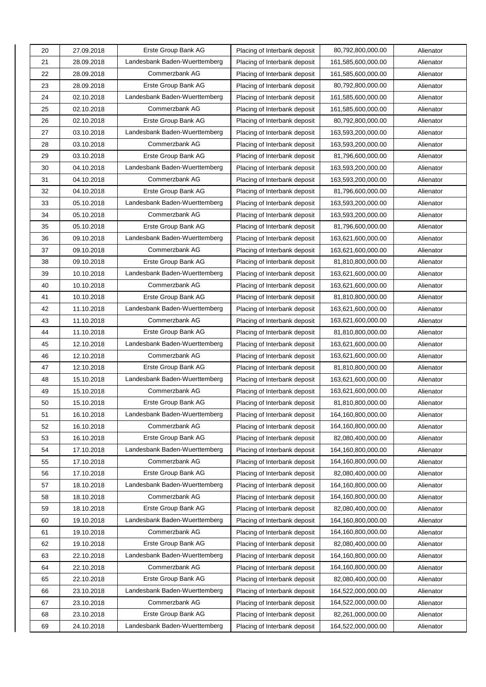| 20 | 27.09.2018 | Erste Group Bank AG           | Placing of Interbank deposit | 80,792,800,000.00  | Alienator |
|----|------------|-------------------------------|------------------------------|--------------------|-----------|
| 21 | 28.09.2018 | Landesbank Baden-Wuerttemberg | Placing of Interbank deposit | 161,585,600,000.00 | Alienator |
| 22 | 28.09.2018 | Commerzbank AG                | Placing of Interbank deposit | 161,585,600,000.00 | Alienator |
| 23 | 28.09.2018 | Erste Group Bank AG           | Placing of Interbank deposit | 80,792,800,000.00  | Alienator |
| 24 | 02.10.2018 | Landesbank Baden-Wuerttemberg | Placing of Interbank deposit | 161,585,600,000.00 | Alienator |
| 25 | 02.10.2018 | Commerzbank AG                | Placing of Interbank deposit | 161,585,600,000.00 | Alienator |
| 26 | 02.10.2018 | Erste Group Bank AG           | Placing of Interbank deposit | 80,792,800,000.00  | Alienator |
| 27 | 03.10.2018 | Landesbank Baden-Wuerttemberg | Placing of Interbank deposit | 163,593,200,000.00 | Alienator |
| 28 | 03.10.2018 | Commerzbank AG                | Placing of Interbank deposit | 163,593,200,000.00 | Alienator |
| 29 | 03.10.2018 | Erste Group Bank AG           | Placing of Interbank deposit | 81,796,600,000.00  | Alienator |
| 30 | 04.10.2018 | Landesbank Baden-Wuerttemberg | Placing of Interbank deposit | 163,593,200,000.00 | Alienator |
| 31 | 04.10.2018 | Commerzbank AG                | Placing of Interbank deposit | 163,593,200,000.00 | Alienator |
| 32 | 04.10.2018 | Erste Group Bank AG           | Placing of Interbank deposit | 81,796,600,000.00  | Alienator |
| 33 | 05.10.2018 | Landesbank Baden-Wuerttemberg | Placing of Interbank deposit | 163,593,200,000.00 | Alienator |
| 34 | 05.10.2018 | Commerzbank AG                | Placing of Interbank deposit | 163,593,200,000.00 | Alienator |
| 35 | 05.10.2018 | Erste Group Bank AG           | Placing of Interbank deposit | 81,796,600,000.00  | Alienator |
| 36 | 09.10.2018 | Landesbank Baden-Wuerttemberg | Placing of Interbank deposit | 163,621,600,000.00 | Alienator |
| 37 | 09.10.2018 | Commerzbank AG                | Placing of Interbank deposit | 163,621,600,000.00 | Alienator |
| 38 | 09.10.2018 | Erste Group Bank AG           | Placing of Interbank deposit | 81,810,800,000.00  | Alienator |
| 39 | 10.10.2018 | Landesbank Baden-Wuerttemberg | Placing of Interbank deposit | 163,621,600,000.00 | Alienator |
| 40 | 10.10.2018 | Commerzbank AG                | Placing of Interbank deposit | 163,621,600,000.00 | Alienator |
| 41 | 10.10.2018 | Erste Group Bank AG           | Placing of Interbank deposit | 81,810,800,000.00  | Alienator |
| 42 | 11.10.2018 | Landesbank Baden-Wuerttemberg | Placing of Interbank deposit | 163,621,600,000.00 | Alienator |
| 43 | 11.10.2018 | Commerzbank AG                | Placing of Interbank deposit | 163,621,600,000.00 | Alienator |
| 44 | 11.10.2018 | Erste Group Bank AG           | Placing of Interbank deposit | 81,810,800,000.00  | Alienator |
| 45 | 12.10.2018 | Landesbank Baden-Wuerttemberg | Placing of Interbank deposit | 163,621,600,000.00 | Alienator |
| 46 | 12.10.2018 | Commerzbank AG                | Placing of Interbank deposit | 163,621,600,000.00 | Alienator |
| 47 | 12.10.2018 | Erste Group Bank AG           | Placing of Interbank deposit | 81,810,800,000.00  | Alienator |
| 48 | 15.10.2018 | Landesbank Baden-Wuerttemberg | Placing of Interbank deposit | 163,621,600,000.00 | Alienator |
| 49 | 15.10.2018 | Commerzbank AG                | Placing of Interbank deposit | 163,621,600,000.00 | Alienator |
| 50 | 15.10.2018 | Erste Group Bank AG           | Placing of Interbank deposit | 81,810,800,000.00  | Alienator |
| 51 | 16.10.2018 | Landesbank Baden-Wuerttemberg | Placing of Interbank deposit | 164,160,800,000.00 | Alienator |
| 52 | 16.10.2018 | Commerzbank AG                | Placing of Interbank deposit | 164,160,800,000.00 | Alienator |
| 53 | 16.10.2018 | Erste Group Bank AG           | Placing of Interbank deposit | 82,080,400,000.00  | Alienator |
| 54 | 17.10.2018 | Landesbank Baden-Wuerttemberg | Placing of Interbank deposit | 164,160,800,000.00 | Alienator |
| 55 | 17.10.2018 | Commerzbank AG                | Placing of Interbank deposit | 164,160,800,000.00 | Alienator |
| 56 | 17.10.2018 | Erste Group Bank AG           | Placing of Interbank deposit | 82,080,400,000.00  | Alienator |
| 57 | 18.10.2018 | Landesbank Baden-Wuerttemberg | Placing of Interbank deposit | 164,160,800,000.00 | Alienator |
| 58 | 18.10.2018 | Commerzbank AG                | Placing of Interbank deposit | 164,160,800,000.00 | Alienator |
| 59 | 18.10.2018 | Erste Group Bank AG           | Placing of Interbank deposit | 82,080,400,000.00  | Alienator |
| 60 | 19.10.2018 | Landesbank Baden-Wuerttemberg | Placing of Interbank deposit | 164,160,800,000.00 | Alienator |
| 61 | 19.10.2018 | Commerzbank AG                | Placing of Interbank deposit | 164,160,800,000.00 | Alienator |
| 62 | 19.10.2018 | Erste Group Bank AG           | Placing of Interbank deposit | 82,080,400,000.00  | Alienator |
| 63 | 22.10.2018 | Landesbank Baden-Wuerttemberg | Placing of Interbank deposit | 164,160,800,000.00 | Alienator |
| 64 | 22.10.2018 | Commerzbank AG                | Placing of Interbank deposit | 164,160,800,000.00 | Alienator |
| 65 | 22.10.2018 | Erste Group Bank AG           | Placing of Interbank deposit | 82,080,400,000.00  | Alienator |
| 66 | 23.10.2018 | Landesbank Baden-Wuerttemberg | Placing of Interbank deposit | 164,522,000,000.00 | Alienator |
| 67 | 23.10.2018 | Commerzbank AG                | Placing of Interbank deposit | 164,522,000,000.00 | Alienator |
| 68 | 23.10.2018 | Erste Group Bank AG           | Placing of Interbank deposit | 82,261,000,000.00  | Alienator |
| 69 | 24.10.2018 | Landesbank Baden-Wuerttemberg | Placing of Interbank deposit | 164,522,000,000.00 | Alienator |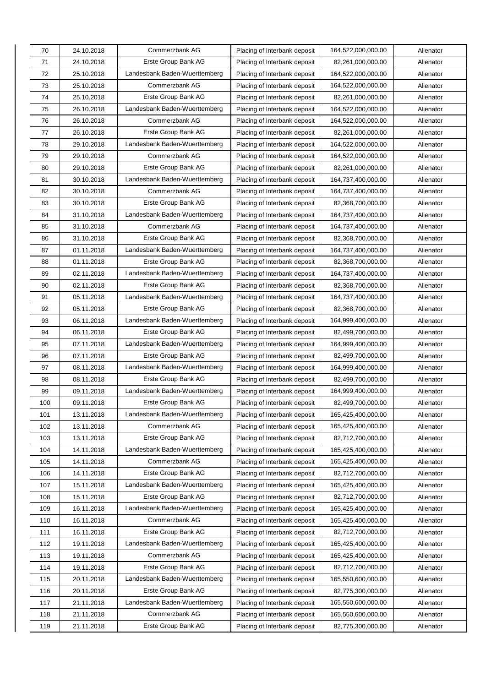| 70  | 24.10.2018 | Commerzbank AG                | Placing of Interbank deposit | 164,522,000,000.00 | Alienator |
|-----|------------|-------------------------------|------------------------------|--------------------|-----------|
| 71  | 24.10.2018 | Erste Group Bank AG           | Placing of Interbank deposit | 82,261,000,000.00  | Alienator |
| 72  | 25.10.2018 | Landesbank Baden-Wuerttemberg | Placing of Interbank deposit | 164,522,000,000.00 | Alienator |
| 73  | 25.10.2018 | Commerzbank AG                | Placing of Interbank deposit | 164,522,000,000.00 | Alienator |
| 74  | 25.10.2018 | Erste Group Bank AG           | Placing of Interbank deposit | 82,261,000,000.00  | Alienator |
| 75  | 26.10.2018 | Landesbank Baden-Wuerttemberg | Placing of Interbank deposit | 164,522,000,000.00 | Alienator |
| 76  | 26.10.2018 | Commerzbank AG                | Placing of Interbank deposit | 164,522,000,000.00 | Alienator |
| 77  | 26.10.2018 | Erste Group Bank AG           | Placing of Interbank deposit | 82,261,000,000.00  | Alienator |
| 78  | 29.10.2018 | Landesbank Baden-Wuerttemberg | Placing of Interbank deposit | 164,522,000,000.00 | Alienator |
| 79  | 29.10.2018 | Commerzbank AG                | Placing of Interbank deposit | 164,522,000,000.00 | Alienator |
| 80  | 29.10.2018 | Erste Group Bank AG           | Placing of Interbank deposit | 82,261,000,000.00  | Alienator |
| 81  | 30.10.2018 | Landesbank Baden-Wuerttemberg | Placing of Interbank deposit | 164,737,400,000.00 | Alienator |
| 82  | 30.10.2018 | Commerzbank AG                | Placing of Interbank deposit | 164,737,400,000.00 | Alienator |
| 83  | 30.10.2018 | Erste Group Bank AG           | Placing of Interbank deposit | 82,368,700,000.00  | Alienator |
| 84  | 31.10.2018 | Landesbank Baden-Wuerttemberg | Placing of Interbank deposit | 164,737,400,000.00 | Alienator |
| 85  | 31.10.2018 | Commerzbank AG                | Placing of Interbank deposit | 164,737,400,000.00 | Alienator |
| 86  | 31.10.2018 | Erste Group Bank AG           | Placing of Interbank deposit | 82,368,700,000.00  | Alienator |
| 87  | 01.11.2018 | Landesbank Baden-Wuerttemberg | Placing of Interbank deposit | 164,737,400,000.00 | Alienator |
| 88  | 01.11.2018 | Erste Group Bank AG           | Placing of Interbank deposit | 82,368,700,000.00  | Alienator |
| 89  | 02.11.2018 | Landesbank Baden-Wuerttemberg | Placing of Interbank deposit | 164,737,400,000.00 | Alienator |
| 90  | 02.11.2018 | Erste Group Bank AG           | Placing of Interbank deposit | 82,368,700,000.00  | Alienator |
| 91  | 05.11.2018 | Landesbank Baden-Wuerttemberg | Placing of Interbank deposit | 164,737,400,000.00 | Alienator |
| 92  | 05.11.2018 | Erste Group Bank AG           | Placing of Interbank deposit | 82,368,700,000.00  | Alienator |
| 93  | 06.11.2018 | Landesbank Baden-Wuerttemberg | Placing of Interbank deposit | 164,999,400,000.00 | Alienator |
| 94  | 06.11.2018 | Erste Group Bank AG           | Placing of Interbank deposit | 82,499,700,000.00  | Alienator |
| 95  | 07.11.2018 | Landesbank Baden-Wuerttemberg | Placing of Interbank deposit | 164,999,400,000.00 | Alienator |
| 96  | 07.11.2018 | Erste Group Bank AG           | Placing of Interbank deposit | 82,499,700,000.00  | Alienator |
| 97  | 08.11.2018 | Landesbank Baden-Wuerttemberg | Placing of Interbank deposit | 164,999,400,000.00 | Alienator |
| 98  | 08.11.2018 | Erste Group Bank AG           | Placing of Interbank deposit | 82,499,700,000.00  | Alienator |
| 99  | 09.11.2018 | Landesbank Baden-Wuerttemberg | Placing of Interbank deposit | 164,999,400,000.00 | Alienator |
| 100 | 09.11.2018 | Erste Group Bank AG           | Placing of Interbank deposit | 82,499,700,000.00  | Alienator |
| 101 | 13.11.2018 | Landesbank Baden-Wuerttemberg | Placing of Interbank deposit | 165,425,400,000.00 | Alienator |
| 102 | 13.11.2018 | Commerzbank AG                | Placing of Interbank deposit | 165,425,400,000.00 | Alienator |
| 103 | 13.11.2018 | Erste Group Bank AG           | Placing of Interbank deposit | 82,712,700,000.00  | Alienator |
| 104 | 14.11.2018 | Landesbank Baden-Wuerttemberg | Placing of Interbank deposit | 165,425,400,000.00 | Alienator |
| 105 | 14.11.2018 | Commerzbank AG                | Placing of Interbank deposit | 165,425,400,000.00 | Alienator |
| 106 | 14.11.2018 | Erste Group Bank AG           | Placing of Interbank deposit | 82,712,700,000.00  | Alienator |
| 107 | 15.11.2018 | Landesbank Baden-Wuerttemberg | Placing of Interbank deposit | 165,425,400,000.00 | Alienator |
| 108 | 15.11.2018 | Erste Group Bank AG           | Placing of Interbank deposit | 82,712,700,000.00  | Alienator |
| 109 | 16.11.2018 | Landesbank Baden-Wuerttemberg | Placing of Interbank deposit | 165,425,400,000.00 | Alienator |
| 110 | 16.11.2018 | Commerzbank AG                | Placing of Interbank deposit | 165,425,400,000.00 | Alienator |
| 111 | 16.11.2018 | Erste Group Bank AG           | Placing of Interbank deposit | 82,712,700,000.00  | Alienator |
| 112 | 19.11.2018 | Landesbank Baden-Wuerttemberg | Placing of Interbank deposit | 165,425,400,000.00 | Alienator |
| 113 | 19.11.2018 | Commerzbank AG                | Placing of Interbank deposit | 165,425,400,000.00 | Alienator |
| 114 | 19.11.2018 | Erste Group Bank AG           | Placing of Interbank deposit | 82,712,700,000.00  | Alienator |
| 115 | 20.11.2018 | Landesbank Baden-Wuerttemberg | Placing of Interbank deposit | 165,550,600,000.00 | Alienator |
| 116 | 20.11.2018 | Erste Group Bank AG           | Placing of Interbank deposit | 82,775,300,000.00  | Alienator |
| 117 | 21.11.2018 | Landesbank Baden-Wuerttemberg | Placing of Interbank deposit | 165,550,600,000.00 | Alienator |
| 118 | 21.11.2018 | Commerzbank AG                | Placing of Interbank deposit | 165,550,600,000.00 | Alienator |
| 119 | 21.11.2018 | Erste Group Bank AG           | Placing of Interbank deposit | 82,775,300,000.00  | Alienator |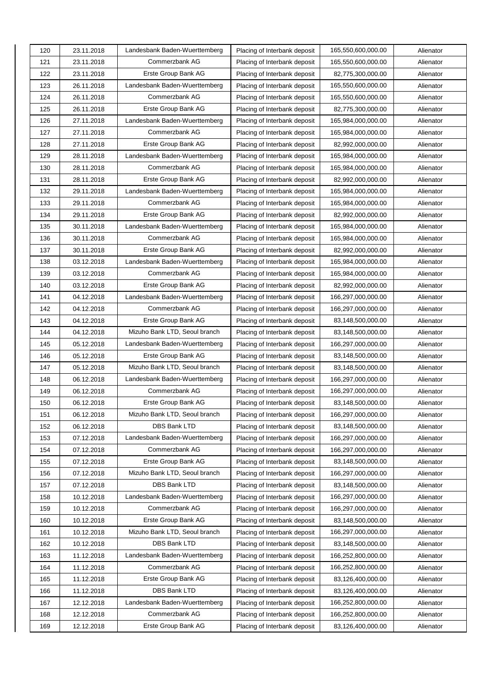| 120 | 23.11.2018 | Landesbank Baden-Wuerttemberg | Placing of Interbank deposit | 165,550,600,000.00 | Alienator |
|-----|------------|-------------------------------|------------------------------|--------------------|-----------|
| 121 | 23.11.2018 | Commerzbank AG                | Placing of Interbank deposit | 165,550,600,000.00 | Alienator |
| 122 | 23.11.2018 | Erste Group Bank AG           | Placing of Interbank deposit | 82,775,300,000.00  | Alienator |
| 123 | 26.11.2018 | Landesbank Baden-Wuerttemberg | Placing of Interbank deposit | 165,550,600,000.00 | Alienator |
| 124 | 26.11.2018 | Commerzbank AG                | Placing of Interbank deposit | 165,550,600,000.00 | Alienator |
| 125 | 26.11.2018 | Erste Group Bank AG           | Placing of Interbank deposit | 82,775,300,000.00  | Alienator |
| 126 | 27.11.2018 | Landesbank Baden-Wuerttemberg | Placing of Interbank deposit | 165,984,000,000.00 | Alienator |
| 127 | 27.11.2018 | Commerzbank AG                | Placing of Interbank deposit | 165,984,000,000.00 | Alienator |
| 128 | 27.11.2018 | Erste Group Bank AG           | Placing of Interbank deposit | 82,992,000,000.00  | Alienator |
| 129 | 28.11.2018 | Landesbank Baden-Wuerttemberg | Placing of Interbank deposit | 165,984,000,000.00 | Alienator |
| 130 | 28.11.2018 | Commerzbank AG                | Placing of Interbank deposit | 165,984,000,000.00 | Alienator |
| 131 | 28.11.2018 | Erste Group Bank AG           | Placing of Interbank deposit | 82,992,000,000.00  | Alienator |
| 132 | 29.11.2018 | Landesbank Baden-Wuerttemberg | Placing of Interbank deposit | 165,984,000,000.00 | Alienator |
| 133 | 29.11.2018 | Commerzbank AG                | Placing of Interbank deposit | 165,984,000,000.00 | Alienator |
| 134 | 29.11.2018 | Erste Group Bank AG           | Placing of Interbank deposit | 82,992,000,000.00  | Alienator |
| 135 | 30.11.2018 | Landesbank Baden-Wuerttemberg | Placing of Interbank deposit | 165,984,000,000.00 | Alienator |
| 136 | 30.11.2018 | Commerzbank AG                | Placing of Interbank deposit | 165,984,000,000.00 | Alienator |
| 137 | 30.11.2018 | Erste Group Bank AG           | Placing of Interbank deposit | 82,992,000,000.00  | Alienator |
| 138 | 03.12.2018 | Landesbank Baden-Wuerttemberg | Placing of Interbank deposit | 165,984,000,000.00 | Alienator |
| 139 | 03.12.2018 | Commerzbank AG                | Placing of Interbank deposit | 165,984,000,000.00 | Alienator |
| 140 | 03.12.2018 | Erste Group Bank AG           | Placing of Interbank deposit | 82,992,000,000.00  | Alienator |
| 141 | 04.12.2018 | Landesbank Baden-Wuerttemberg | Placing of Interbank deposit | 166,297,000,000.00 | Alienator |
| 142 | 04.12.2018 | Commerzbank AG                | Placing of Interbank deposit | 166,297,000,000.00 | Alienator |
| 143 | 04.12.2018 | Erste Group Bank AG           | Placing of Interbank deposit | 83,148,500,000.00  | Alienator |
| 144 | 04.12.2018 | Mizuho Bank LTD, Seoul branch | Placing of Interbank deposit | 83,148,500,000.00  | Alienator |
| 145 | 05.12.2018 | Landesbank Baden-Wuerttemberg | Placing of Interbank deposit | 166,297,000,000.00 | Alienator |
| 146 | 05.12.2018 | Erste Group Bank AG           | Placing of Interbank deposit | 83,148,500,000.00  | Alienator |
| 147 | 05.12.2018 | Mizuho Bank LTD, Seoul branch | Placing of Interbank deposit | 83,148,500,000.00  | Alienator |
| 148 | 06.12.2018 | Landesbank Baden-Wuerttemberg | Placing of Interbank deposit | 166,297,000,000.00 | Alienator |
| 149 | 06.12.2018 | Commerzbank AG                | Placing of Interbank deposit | 166,297,000,000.00 | Alienator |
| 150 | 06.12.2018 | Erste Group Bank AG           | Placing of Interbank deposit | 83,148,500,000.00  | Alienator |
| 151 | 06.12.2018 | Mizuho Bank LTD, Seoul branch | Placing of Interbank deposit | 166,297,000,000.00 | Alienator |
| 152 | 06.12.2018 | DBS Bank LTD                  | Placing of Interbank deposit | 83,148,500,000.00  | Alienator |
| 153 | 07.12.2018 | Landesbank Baden-Wuerttemberg | Placing of Interbank deposit | 166,297,000,000.00 | Alienator |
| 154 | 07.12.2018 | Commerzbank AG                | Placing of Interbank deposit | 166,297,000,000.00 | Alienator |
| 155 | 07.12.2018 | Erste Group Bank AG           | Placing of Interbank deposit | 83,148,500,000.00  | Alienator |
| 156 | 07.12.2018 | Mizuho Bank LTD, Seoul branch | Placing of Interbank deposit | 166,297,000,000.00 | Alienator |
| 157 | 07.12.2018 | DBS Bank LTD                  | Placing of Interbank deposit | 83,148,500,000.00  | Alienator |
| 158 | 10.12.2018 | Landesbank Baden-Wuerttemberg | Placing of Interbank deposit | 166,297,000,000.00 | Alienator |
| 159 | 10.12.2018 | Commerzbank AG                | Placing of Interbank deposit | 166,297,000,000.00 | Alienator |
| 160 | 10.12.2018 | Erste Group Bank AG           | Placing of Interbank deposit | 83,148,500,000.00  | Alienator |
| 161 | 10.12.2018 | Mizuho Bank LTD, Seoul branch | Placing of Interbank deposit | 166,297,000,000.00 | Alienator |
| 162 | 10.12.2018 | DBS Bank LTD                  | Placing of Interbank deposit | 83,148,500,000.00  | Alienator |
| 163 | 11.12.2018 | Landesbank Baden-Wuerttemberg | Placing of Interbank deposit | 166,252,800,000.00 | Alienator |
| 164 | 11.12.2018 | Commerzbank AG                | Placing of Interbank deposit | 166,252,800,000.00 | Alienator |
| 165 | 11.12.2018 | Erste Group Bank AG           | Placing of Interbank deposit | 83,126,400,000.00  | Alienator |
| 166 | 11.12.2018 | DBS Bank LTD                  | Placing of Interbank deposit | 83,126,400,000.00  | Alienator |
| 167 | 12.12.2018 | Landesbank Baden-Wuerttemberg | Placing of Interbank deposit | 166,252,800,000.00 | Alienator |
| 168 | 12.12.2018 | Commerzbank AG                | Placing of Interbank deposit | 166,252,800,000.00 | Alienator |
| 169 | 12.12.2018 | Erste Group Bank AG           | Placing of Interbank deposit | 83,126,400,000.00  | Alienator |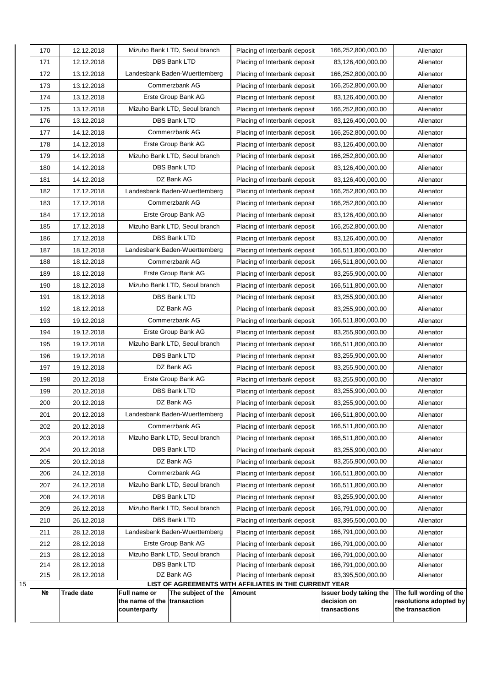| 170        | 12.12.2018               | Mizuho Bank LTD, Seoul branch                                                     | Placing of Interbank deposit                                 | 166,252,800,000.00                                    | Alienator                                                            |
|------------|--------------------------|-----------------------------------------------------------------------------------|--------------------------------------------------------------|-------------------------------------------------------|----------------------------------------------------------------------|
| 171        | 12.12.2018               | <b>DBS Bank LTD</b>                                                               | Placing of Interbank deposit                                 | 83,126,400,000.00                                     | Alienator                                                            |
| 172        | 13.12.2018               | Landesbank Baden-Wuerttemberg                                                     | Placing of Interbank deposit                                 | 166,252,800,000.00                                    | Alienator                                                            |
| 173        | 13.12.2018               | Commerzbank AG                                                                    | Placing of Interbank deposit                                 | 166,252,800,000.00                                    | Alienator                                                            |
| 174        | 13.12.2018               | Erste Group Bank AG                                                               | Placing of Interbank deposit                                 | 83,126,400,000.00                                     | Alienator                                                            |
| 175        | 13.12.2018               | Mizuho Bank LTD, Seoul branch                                                     | Placing of Interbank deposit                                 | 166,252,800,000.00                                    | Alienator                                                            |
| 176        | 13.12.2018               | <b>DBS Bank LTD</b>                                                               | Placing of Interbank deposit                                 | 83,126,400,000.00                                     | Alienator                                                            |
| 177        | 14.12.2018               | Commerzbank AG                                                                    | Placing of Interbank deposit                                 | 166,252,800,000.00                                    | Alienator                                                            |
| 178        | 14.12.2018               | Erste Group Bank AG                                                               | Placing of Interbank deposit                                 | 83,126,400,000.00                                     | Alienator                                                            |
| 179        | 14.12.2018               | Mizuho Bank LTD, Seoul branch                                                     | Placing of Interbank deposit                                 | 166,252,800,000.00                                    | Alienator                                                            |
| 180        | 14.12.2018               | DBS Bank LTD                                                                      | Placing of Interbank deposit                                 | 83,126,400,000.00                                     | Alienator                                                            |
| 181        | 14.12.2018               | DZ Bank AG                                                                        | Placing of Interbank deposit                                 | 83,126,400,000.00                                     | Alienator                                                            |
| 182        | 17.12.2018               | Landesbank Baden-Wuerttemberg                                                     | Placing of Interbank deposit                                 | 166,252,800,000.00                                    | Alienator                                                            |
| 183        | 17.12.2018               | Commerzbank AG                                                                    | Placing of Interbank deposit                                 | 166,252,800,000.00                                    | Alienator                                                            |
| 184        | 17.12.2018               | Erste Group Bank AG                                                               | Placing of Interbank deposit                                 | 83,126,400,000.00                                     | Alienator                                                            |
| 185        | 17.12.2018               | Mizuho Bank LTD, Seoul branch                                                     | Placing of Interbank deposit                                 | 166,252,800,000.00                                    | Alienator                                                            |
| 186        | 17.12.2018               | <b>DBS Bank LTD</b>                                                               | Placing of Interbank deposit                                 | 83,126,400,000.00                                     | Alienator                                                            |
| 187        | 18.12.2018               | Landesbank Baden-Wuerttemberg                                                     | Placing of Interbank deposit                                 | 166,511,800,000.00                                    | Alienator                                                            |
| 188        | 18.12.2018               | Commerzbank AG                                                                    | Placing of Interbank deposit                                 | 166,511,800,000.00                                    | Alienator                                                            |
| 189        | 18.12.2018               | Erste Group Bank AG                                                               | Placing of Interbank deposit                                 | 83,255,900,000.00                                     | Alienator                                                            |
| 190        | 18.12.2018               | Mizuho Bank LTD, Seoul branch                                                     | Placing of Interbank deposit                                 | 166,511,800,000.00                                    | Alienator                                                            |
| 191        | 18.12.2018               | <b>DBS Bank LTD</b>                                                               | Placing of Interbank deposit                                 | 83,255,900,000.00                                     | Alienator                                                            |
| 192        | 18.12.2018               | DZ Bank AG                                                                        | Placing of Interbank deposit                                 | 83,255,900,000.00                                     | Alienator                                                            |
| 193        | 19.12.2018               | Commerzbank AG                                                                    | Placing of Interbank deposit                                 | 166,511,800,000.00                                    | Alienator                                                            |
| 194        | 19.12.2018               | Erste Group Bank AG                                                               | Placing of Interbank deposit                                 | 83,255,900,000.00                                     | Alienator                                                            |
| 195        | 19.12.2018               | Mizuho Bank LTD, Seoul branch                                                     | Placing of Interbank deposit                                 | 166,511,800,000.00                                    | Alienator                                                            |
| 196        | 19.12.2018               | <b>DBS Bank LTD</b>                                                               | Placing of Interbank deposit                                 | 83,255,900,000.00                                     | Alienator                                                            |
| 197        | 19.12.2018               | DZ Bank AG                                                                        | Placing of Interbank deposit                                 | 83,255,900,000.00                                     | Alienator                                                            |
| 198        | 20.12.2018               | Erste Group Bank AG                                                               | Placing of Interbank deposit                                 | 83,255,900,000.00                                     | Alienator                                                            |
| 199        | 20.12.2018               | DBS Bank LTD                                                                      | Placing of Interbank deposit                                 | 83,255,900,000.00                                     | Alienator                                                            |
| 200        | 20.12.2018               | DZ Bank AG                                                                        | Placing of Interbank deposit                                 | 83,255,900,000.00                                     | Alienator                                                            |
| 201        | 20.12.2018               | Landesbank Baden-Wuerttemberg                                                     | Placing of Interbank deposit                                 | 166,511,800,000.00                                    | Alienator                                                            |
| 202        | 20.12.2018               | Commerzbank AG                                                                    | Placing of Interbank deposit                                 | 166,511,800,000.00                                    | Alienator                                                            |
| 203        | 20.12.2018               | Mizuho Bank LTD, Seoul branch                                                     | Placing of Interbank deposit                                 | 166,511,800,000.00                                    | Alienator                                                            |
| 204        | 20.12.2018               | DBS Bank LTD                                                                      | Placing of Interbank deposit                                 | 83,255,900,000.00                                     | Alienator                                                            |
| 205        | 20.12.2018               | DZ Bank AG                                                                        | Placing of Interbank deposit                                 | 83,255,900,000.00                                     | Alienator                                                            |
| 206        | 24.12.2018               | Commerzbank AG                                                                    | Placing of Interbank deposit                                 | 166,511,800,000.00                                    | Alienator                                                            |
| 207        | 24.12.2018               | Mizuho Bank LTD, Seoul branch                                                     | Placing of Interbank deposit                                 | 166,511,800,000.00                                    | Alienator                                                            |
| 208        | 24.12.2018               | DBS Bank LTD                                                                      | Placing of Interbank deposit                                 | 83,255,900,000.00                                     | Alienator                                                            |
| 209        | 26.12.2018               | Mizuho Bank LTD, Seoul branch                                                     | Placing of Interbank deposit                                 | 166,791,000,000.00                                    | Alienator                                                            |
| 210        | 26.12.2018               | DBS Bank LTD                                                                      | Placing of Interbank deposit                                 | 83,395,500,000.00                                     | Alienator                                                            |
| 211        | 28.12.2018               | Landesbank Baden-Wuerttemberg                                                     | Placing of Interbank deposit                                 | 166,791,000,000.00                                    | Alienator                                                            |
| 212        | 28.12.2018               | Erste Group Bank AG                                                               | Placing of Interbank deposit                                 | 166,791,000,000.00                                    | Alienator                                                            |
| 213<br>214 | 28.12.2018<br>28.12.2018 | Mizuho Bank LTD, Seoul branch<br>DBS Bank LTD                                     | Placing of Interbank deposit<br>Placing of Interbank deposit | 166,791,000,000.00<br>166,791,000,000.00              | Alienator<br>Alienator                                               |
| 215        | 28.12.2018               | DZ Bank AG                                                                        | Placing of Interbank deposit                                 | 83,395,500,000.00                                     | Alienator                                                            |
| 15         |                          |                                                                                   | LIST OF AGREEMENTS WITH AFFILIATES IN THE CURRENT YEAR       |                                                       |                                                                      |
| Nº         | <b>Trade date</b>        | Full name or<br>The subject of the<br>the name of the transaction<br>counterparty | Amount                                                       | Issuer body taking the<br>decision on<br>transactions | The full wording of the<br>resolutions adopted by<br>the transaction |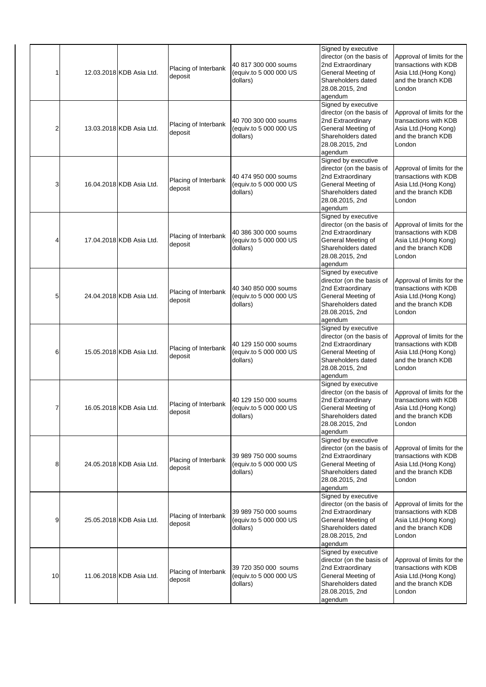| 1  | 12.03.2018 KDB Asia Ltd. | Placing of Interbank<br>deposit | 40 817 300 000 soums<br>(equiv.to 5 000 000 US<br>dollars) | Signed by executive<br>director (on the basis of<br>2nd Extraordinary<br>General Meeting of<br>Shareholders dated<br>28.08.2015, 2nd<br>agendum | Approval of limits for the<br>transactions with KDB<br>Asia Ltd.(Hong Kong)<br>and the branch KDB<br>London  |
|----|--------------------------|---------------------------------|------------------------------------------------------------|-------------------------------------------------------------------------------------------------------------------------------------------------|--------------------------------------------------------------------------------------------------------------|
| 2  | 13.03.2018 KDB Asia Ltd. | Placing of Interbank<br>deposit | 40 700 300 000 soums<br>(equiv.to 5 000 000 US<br>dollars) | Signed by executive<br>director (on the basis of<br>2nd Extraordinary<br>General Meeting of<br>Shareholders dated<br>28.08.2015, 2nd<br>agendum | Approval of limits for the<br>transactions with KDB<br>Asia Ltd.(Hong Kong)<br>and the branch KDB<br>London  |
| 3  | 16.04.2018 KDB Asia Ltd. | Placing of Interbank<br>deposit | 40 474 950 000 soums<br>(equiv.to 5 000 000 US<br>dollars) | Signed by executive<br>director (on the basis of<br>2nd Extraordinary<br>General Meeting of<br>Shareholders dated<br>28.08.2015, 2nd<br>agendum | Approval of limits for the<br>transactions with KDB<br>Asia Ltd. (Hong Kong)<br>and the branch KDB<br>London |
| 4  | 17.04.2018 KDB Asia Ltd. | Placing of Interbank<br>deposit | 40 386 300 000 soums<br>(equiv.to 5 000 000 US<br>dollars) | Signed by executive<br>director (on the basis of<br>2nd Extraordinary<br>General Meeting of<br>Shareholders dated<br>28.08.2015, 2nd<br>agendum | Approval of limits for the<br>transactions with KDB<br>Asia Ltd.(Hong Kong)<br>and the branch KDB<br>London  |
| 5  | 24.04.2018 KDB Asia Ltd. | Placing of Interbank<br>deposit | 40 340 850 000 soums<br>(equiv.to 5 000 000 US<br>dollars) | Signed by executive<br>director (on the basis of<br>2nd Extraordinary<br>General Meeting of<br>Shareholders dated<br>28.08.2015, 2nd<br>agendum | Approval of limits for the<br>transactions with KDB<br>Asia Ltd.(Hong Kong)<br>and the branch KDB<br>London  |
| 6  | 15.05.2018 KDB Asia Ltd. | Placing of Interbank<br>deposit | 40 129 150 000 soums<br>(equiv.to 5 000 000 US<br>dollars) | Signed by executive<br>director (on the basis of<br>2nd Extraordinary<br>General Meeting of<br>Shareholders dated<br>28.08.2015, 2nd<br>agendum | Approval of limits for the<br>transactions with KDB<br>Asia Ltd.(Hong Kong)<br>and the branch KDB<br>London  |
| 7  | 16.05.2018 KDB Asia Ltd. | Placing of Interbank<br>deposit | 40 129 150 000 soums<br>(equiv.to 5 000 000 US<br>dollars) | Signed by executive<br>director (on the basis of<br>2nd Extraordinary<br>General Meeting of<br>Shareholders dated<br>28.08.2015, 2nd<br>agendum | Approval of limits for the<br>transactions with KDB<br>Asia Ltd.(Hong Kong)<br>and the branch KDB<br>London  |
| 8  | 24.05.2018 KDB Asia Ltd. | Placing of Interbank<br>deposit | 39 989 750 000 soums<br>(equiv.to 5 000 000 US<br>dollars) | Signed by executive<br>director (on the basis of<br>2nd Extraordinary<br>General Meeting of<br>Shareholders dated<br>28.08.2015, 2nd<br>agendum | Approval of limits for the<br>transactions with KDB<br>Asia Ltd. (Hong Kong)<br>and the branch KDB<br>London |
| 9  | 25.05.2018 KDB Asia Ltd. | Placing of Interbank<br>deposit | 39 989 750 000 soums<br>(equiv.to 5 000 000 US<br>dollars) | Signed by executive<br>director (on the basis of<br>2nd Extraordinary<br>General Meeting of<br>Shareholders dated<br>28.08.2015, 2nd<br>agendum | Approval of limits for the<br>transactions with KDB<br>Asia Ltd.(Hong Kong)<br>and the branch KDB<br>London  |
| 10 | 11.06.2018 KDB Asia Ltd. | Placing of Interbank<br>deposit | 39 720 350 000 soums<br>(equiv.to 5 000 000 US<br>dollars) | Signed by executive<br>director (on the basis of<br>2nd Extraordinary<br>General Meeting of<br>Shareholders dated<br>28.08.2015, 2nd<br>agendum | Approval of limits for the<br>transactions with KDB<br>Asia Ltd.(Hong Kong)<br>and the branch KDB<br>London  |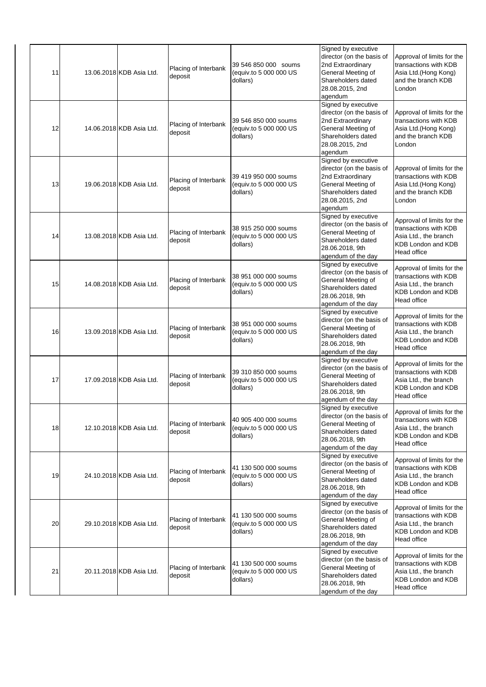| 11 | 13.06.2018 KDB Asia Ltd. | Placing of Interbank<br>deposit | 39 546 850 000 soums<br>(equiv.to 5 000 000 US<br>dollars) | Signed by executive<br>director (on the basis of<br>2nd Extraordinary<br>General Meeting of<br>Shareholders dated<br>28.08.2015, 2nd<br>agendum | Approval of limits for the<br>transactions with KDB<br>Asia Ltd.(Hong Kong)<br>and the branch KDB<br>London              |
|----|--------------------------|---------------------------------|------------------------------------------------------------|-------------------------------------------------------------------------------------------------------------------------------------------------|--------------------------------------------------------------------------------------------------------------------------|
| 12 | 14.06.2018 KDB Asia Ltd. | Placing of Interbank<br>deposit | 39 546 850 000 soums<br>(equiv.to 5 000 000 US<br>dollars) | Signed by executive<br>director (on the basis of<br>2nd Extraordinary<br>General Meeting of<br>Shareholders dated<br>28.08.2015, 2nd<br>agendum | Approval of limits for the<br>transactions with KDB<br>Asia Ltd.(Hong Kong)<br>and the branch KDB<br>London              |
| 13 | 19.06.2018 KDB Asia Ltd. | Placing of Interbank<br>deposit | 39 419 950 000 soums<br>(equiv.to 5 000 000 US<br>dollars) | Signed by executive<br>director (on the basis of<br>2nd Extraordinary<br>General Meeting of<br>Shareholders dated<br>28.08.2015, 2nd<br>agendum | Approval of limits for the<br>transactions with KDB<br>Asia Ltd.(Hong Kong)<br>and the branch KDB<br>London              |
| 14 | 13.08.2018 KDB Asia Ltd. | Placing of Interbank<br>deposit | 38 915 250 000 soums<br>(equiv.to 5 000 000 US<br>dollars) | Signed by executive<br>director (on the basis of<br>General Meeting of<br>Shareholders dated<br>28.06.2018, 9th<br>agendum of the day           | Approval of limits for the<br>transactions with KDB<br>Asia Ltd., the branch<br>KDB London and KDB<br>Head office        |
| 15 | 14.08.2018 KDB Asia Ltd. | Placing of Interbank<br>deposit | 38 951 000 000 soums<br>(equiv.to 5 000 000 US<br>dollars) | Signed by executive<br>director (on the basis of<br>General Meeting of<br>Shareholders dated<br>28.06.2018, 9th<br>agendum of the day           | Approval of limits for the<br>transactions with KDB<br>Asia Ltd., the branch<br>KDB London and KDB<br>Head office        |
| 16 | 13.09.2018 KDB Asia Ltd. | Placing of Interbank<br>deposit | 38 951 000 000 soums<br>(equiv.to 5 000 000 US<br>dollars) | Signed by executive<br>director (on the basis of<br>General Meeting of<br>Shareholders dated<br>28.06.2018, 9th<br>agendum of the day           | Approval of limits for the<br>transactions with KDB<br>Asia Ltd., the branch<br>KDB London and KDB<br>Head office        |
| 17 | 17.09.2018 KDB Asia Ltd. | Placing of Interbank<br>deposit | 39 310 850 000 soums<br>(equiv.to 5 000 000 US<br>dollars) | Signed by executive<br>director (on the basis of<br>General Meeting of<br>Shareholders dated<br>28.06.2018, 9th<br>agendum of the day           | Approval of limits for the<br>transactions with KDB<br>Asia Ltd., the branch<br><b>KDB London and KDB</b><br>Head office |
| 18 | 12.10.2018 KDB Asia Ltd. | Placing of Interbank<br>deposit | 40 905 400 000 soums<br>(equiv.to 5 000 000 US<br>dollars) | Signed by executive<br>director (on the basis of<br>General Meeting of<br>Shareholders dated<br>28.06.2018, 9th<br>agendum of the day           | Approval of limits for the<br>transactions with KDB<br>Asia Ltd., the branch<br>KDB London and KDB<br>Head office        |
| 19 | 24.10.2018 KDB Asia Ltd. | Placing of Interbank<br>deposit | 41 130 500 000 soums<br>(equiv.to 5 000 000 US<br>dollars) | Signed by executive<br>director (on the basis of<br>General Meeting of<br>Shareholders dated<br>28.06.2018, 9th<br>agendum of the day           | Approval of limits for the<br>transactions with KDB<br>Asia Ltd., the branch<br>KDB London and KDB<br>Head office        |
| 20 | 29.10.2018 KDB Asia Ltd. | Placing of Interbank<br>deposit | 41 130 500 000 soums<br>(equiv.to 5 000 000 US<br>dollars) | Signed by executive<br>director (on the basis of<br>General Meeting of<br>Shareholders dated<br>28.06.2018, 9th<br>agendum of the day           | Approval of limits for the<br>transactions with KDB<br>Asia Ltd., the branch<br>KDB London and KDB<br>Head office        |
| 21 | 20.11.2018 KDB Asia Ltd. | Placing of Interbank<br>deposit | 41 130 500 000 soums<br>(equiv.to 5 000 000 US<br>dollars) | Signed by executive<br>director (on the basis of<br>General Meeting of<br>Shareholders dated<br>28.06.2018, 9th<br>agendum of the day           | Approval of limits for the<br>transactions with KDB<br>Asia Ltd., the branch<br>KDB London and KDB<br>Head office        |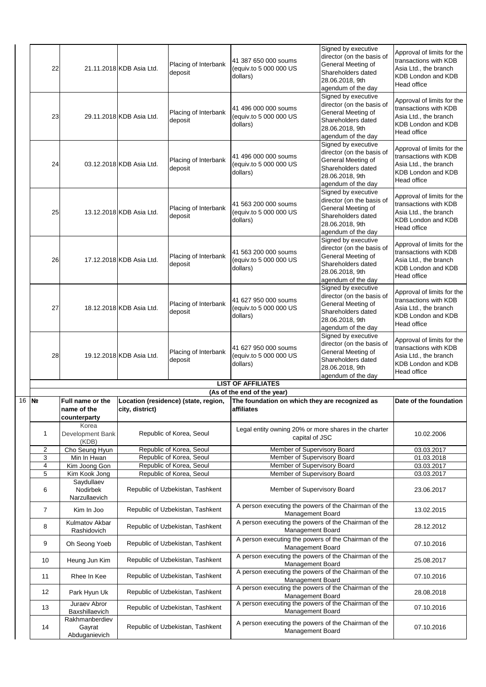|    | 22                           |                                                 | 21.11.2018 KDB Asia Ltd. | Placing of Interbank<br>deposit                      | 41 387 650 000 soums<br>(equiv.to 5 000 000 US<br>dollars)                                                                       | Signed by executive<br>director (on the basis of<br>General Meeting of<br>Shareholders dated<br>28.06.2018, 9th<br>agendum of the day | Approval of limits for the<br>transactions with KDB<br>Asia Ltd., the branch<br>KDB London and KDB<br>Head office        |
|----|------------------------------|-------------------------------------------------|--------------------------|------------------------------------------------------|----------------------------------------------------------------------------------------------------------------------------------|---------------------------------------------------------------------------------------------------------------------------------------|--------------------------------------------------------------------------------------------------------------------------|
|    | 23                           |                                                 | 29.11.2018 KDB Asia Ltd. | Placing of Interbank<br>deposit                      | 41 496 000 000 soums<br>(equiv.to 5 000 000 US<br>dollars)                                                                       | Signed by executive<br>director (on the basis of<br>General Meeting of<br>Shareholders dated<br>28.06.2018, 9th<br>agendum of the day | Approval of limits for the<br>transactions with KDB<br>Asia Ltd., the branch<br>KDB London and KDB<br>Head office        |
|    | 24                           |                                                 | 03.12.2018 KDB Asia Ltd. | Placing of Interbank<br>deposit                      | 41 496 000 000 soums<br>(equiv.to 5 000 000 US<br>dollars)                                                                       | Signed by executive<br>director (on the basis of<br>General Meeting of<br>Shareholders dated<br>28.06.2018, 9th<br>agendum of the day | Approval of limits for the<br>transactions with KDB<br>Asia Ltd., the branch<br><b>KDB London and KDB</b><br>Head office |
|    | 25                           |                                                 | 13.12.2018 KDB Asia Ltd. | Placing of Interbank<br>deposit                      | 41 563 200 000 soums<br>(equiv.to 5 000 000 US<br>dollars)                                                                       | Signed by executive<br>director (on the basis of<br>General Meeting of<br>Shareholders dated<br>28.06.2018, 9th<br>agendum of the day | Approval of limits for the<br>transactions with KDB<br>Asia Ltd., the branch<br>KDB London and KDB<br>Head office        |
|    | 26                           |                                                 | 17.12.2018 KDB Asia Ltd. | Placing of Interbank<br>deposit                      | 41 563 200 000 soums<br>(equiv.to 5 000 000 US<br>dollars)                                                                       | Signed by executive<br>director (on the basis of<br>General Meeting of<br>Shareholders dated<br>28.06.2018, 9th<br>agendum of the day | Approval of limits for the<br>transactions with KDB<br>Asia Ltd., the branch<br>KDB London and KDB<br>Head office        |
|    | 27                           |                                                 | 18.12.2018 KDB Asia Ltd. | Placing of Interbank<br>deposit                      | 41 627 950 000 soums<br>(equiv.to 5 000 000 US<br>dollars)                                                                       | Signed by executive<br>director (on the basis of<br>General Meeting of<br>Shareholders dated<br>28.06.2018, 9th<br>agendum of the day | Approval of limits for the<br>transactions with KDB<br>Asia Ltd., the branch<br>KDB London and KDB<br>Head office        |
|    | 28                           |                                                 | 19.12.2018 KDB Asia Ltd. | Placing of Interbank<br>deposit                      | 41 627 950 000 soums<br>(equiv.to 5 000 000 US<br>dollars)                                                                       | Signed by executive<br>director (on the basis of<br>General Meeting of<br>Shareholders dated<br>28.06.2018, 9th<br>agendum of the day | Approval of limits for the<br>transactions with KDB<br>Asia Ltd., the branch<br>KDB London and KDB<br><b>Head office</b> |
|    |                              |                                                 |                          |                                                      | <b>LIST OF AFFILIATES</b>                                                                                                        |                                                                                                                                       |                                                                                                                          |
|    |                              |                                                 |                          |                                                      | (As of the end of the year)                                                                                                      |                                                                                                                                       |                                                                                                                          |
| 16 | N <sub>2</sub>               | Full name or the<br>name of the<br>counterparty | city, district)          | Location (residence) (state, region,                 | The foundation on which they are recognized as<br>amiliates                                                                      |                                                                                                                                       | Date of the foundation                                                                                                   |
|    | 1                            | Korea<br>Development Bank<br>(KDB)              |                          | Republic of Korea, Seoul                             | Legal entity owning 20% or more shares in the charter<br>capital of JSC                                                          |                                                                                                                                       | 10.02.2006                                                                                                               |
|    | $\overline{\mathbf{c}}$<br>3 | Cho Seung Hyun<br>Min In Hwan                   |                          | Republic of Korea, Seoul<br>Republic of Korea, Seoul | Member of Supervisory Board<br>Member of Supervisory Board                                                                       |                                                                                                                                       | 03.03.2017<br>01.03.2018                                                                                                 |
|    | 4                            | Kim Joong Gon                                   |                          | Republic of Korea, Seoul                             | Member of Supervisory Board                                                                                                      | 03.03.2017                                                                                                                            |                                                                                                                          |
|    | 5                            | Kim Kook Jong                                   |                          | Republic of Korea, Seoul                             | Member of Supervisory Board                                                                                                      |                                                                                                                                       | 03.03.2017                                                                                                               |
|    | 6                            | Saydullaev<br>Nodirbek<br>Narzullaevich         |                          | Republic of Uzbekistan, Tashkent                     | Member of Supervisory Board                                                                                                      |                                                                                                                                       | 23.06.2017                                                                                                               |
|    | $\overline{7}$               | Kim In Joo                                      |                          | Republic of Uzbekistan, Tashkent                     | A person executing the powers of the Chairman of the<br>Management Board                                                         |                                                                                                                                       | 13.02.2015                                                                                                               |
|    | 8                            | Kulmatov Akbar<br>Rashidovich                   |                          | Republic of Uzbekistan, Tashkent                     | A person executing the powers of the Chairman of the<br>Management Board                                                         |                                                                                                                                       | 28.12.2012                                                                                                               |
|    | 9                            | Oh Seong Yoeb                                   |                          | Republic of Uzbekistan, Tashkent                     | A person executing the powers of the Chairman of the<br>Management Board                                                         |                                                                                                                                       | 07.10.2016                                                                                                               |
|    | 10                           | Heung Jun Kim                                   |                          | Republic of Uzbekistan, Tashkent                     | A person executing the powers of the Chairman of the<br>Management Board<br>A person executing the powers of the Chairman of the |                                                                                                                                       | 25.08.2017                                                                                                               |
|    | 11                           | Rhee In Kee                                     |                          | Republic of Uzbekistan, Tashkent                     | Management Board<br>A person executing the powers of the Chairman of the                                                         |                                                                                                                                       | 07.10.2016                                                                                                               |
|    | 12                           | Park Hyun Uk<br>Juraev Abror                    |                          | Republic of Uzbekistan, Tashkent                     | <b>Management Board</b><br>A person executing the powers of the Chairman of the                                                  |                                                                                                                                       | 28.08.2018                                                                                                               |
|    | 13                           | <b>Baxshillaevich</b><br>Rakhmanberdiev         |                          | Republic of Uzbekistan, Tashkent                     | <b>Management Board</b>                                                                                                          |                                                                                                                                       | 07.10.2016                                                                                                               |
|    | 14                           | Gayrat<br>Abduganievich                         |                          | Republic of Uzbekistan, Tashkent                     | A person executing the powers of the Chairman of the<br>Management Board                                                         |                                                                                                                                       | 07.10.2016                                                                                                               |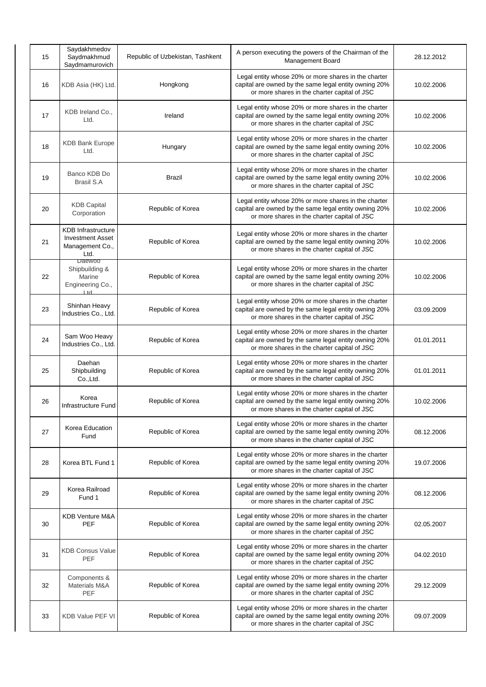| 15 | Saydakhmedov<br>Saydmakhmud<br>Saydmamurovich                                   | Republic of Uzbekistan, Tashkent | A person executing the powers of the Chairman of the<br>Management Board                                                                                      | 28.12.2012 |
|----|---------------------------------------------------------------------------------|----------------------------------|---------------------------------------------------------------------------------------------------------------------------------------------------------------|------------|
| 16 | KDB Asia (HK) Ltd.                                                              | Hongkong                         | Legal entity whose 20% or more shares in the charter<br>capital are owned by the same legal entity owning 20%<br>or more shares in the charter capital of JSC | 10.02.2006 |
| 17 | KDB Ireland Co.,<br>Ltd.                                                        | Ireland                          | Legal entity whose 20% or more shares in the charter<br>capital are owned by the same legal entity owning 20%<br>or more shares in the charter capital of JSC | 10.02.2006 |
| 18 | <b>KDB Bank Europe</b><br>Ltd.                                                  | Hungary                          | Legal entity whose 20% or more shares in the charter<br>capital are owned by the same legal entity owning 20%<br>or more shares in the charter capital of JSC | 10.02.2006 |
| 19 | Banco KDB Do<br>Brasil S.A                                                      | Brazil                           | Legal entity whose 20% or more shares in the charter<br>capital are owned by the same legal entity owning 20%<br>or more shares in the charter capital of JSC | 10.02.2006 |
| 20 | <b>KDB Capital</b><br>Corporation                                               | Republic of Korea                | Legal entity whose 20% or more shares in the charter<br>capital are owned by the same legal entity owning 20%<br>or more shares in the charter capital of JSC | 10.02.2006 |
| 21 | <b>KDB</b> Infrastructure<br><b>Investment Asset</b><br>Management Co.,<br>Ltd. | Republic of Korea                | Legal entity whose 20% or more shares in the charter<br>capital are owned by the same legal entity owning 20%<br>or more shares in the charter capital of JSC | 10.02.2006 |
| 22 | <b>Daewoo</b><br>Shipbuilding &<br>Marine<br>Engineering Co.,<br>$H + d$        | Republic of Korea                | Legal entity whose 20% or more shares in the charter<br>capital are owned by the same legal entity owning 20%<br>or more shares in the charter capital of JSC | 10.02.2006 |
| 23 | Shinhan Heavy<br>Industries Co., Ltd.                                           | Republic of Korea                | Legal entity whose 20% or more shares in the charter<br>capital are owned by the same legal entity owning 20%<br>or more shares in the charter capital of JSC | 03.09.2009 |
| 24 | Sam Woo Heavy<br>Industries Co., Ltd.                                           | Republic of Korea                | Legal entity whose 20% or more shares in the charter<br>capital are owned by the same legal entity owning 20%<br>or more shares in the charter capital of JSC | 01.01.2011 |
| 25 | Daehan<br>Shipbuilding<br>Co., Ltd.                                             | Republic of Korea                | Legal entity whose 20% or more shares in the charter<br>capital are owned by the same legal entity owning 20%<br>or more shares in the charter capital of JSC | 01.01.2011 |
| 26 | Korea<br>Infrastructure Fund                                                    | Republic of Korea                | Legal entity whose 20% or more shares in the charter<br>capital are owned by the same legal entity owning 20%<br>or more shares in the charter capital of JSC | 10.02.2006 |
| 27 | Korea Education<br>Fund                                                         | Republic of Korea                | Legal entity whose 20% or more shares in the charter<br>capital are owned by the same legal entity owning 20%<br>or more shares in the charter capital of JSC | 08.12.2006 |
| 28 | Korea BTL Fund 1                                                                | Republic of Korea                | Legal entity whose 20% or more shares in the charter<br>capital are owned by the same legal entity owning 20%<br>or more shares in the charter capital of JSC | 19.07.2006 |
| 29 | Korea Railroad<br>Fund 1                                                        | Republic of Korea                | Legal entity whose 20% or more shares in the charter<br>capital are owned by the same legal entity owning 20%<br>or more shares in the charter capital of JSC | 08.12.2006 |
| 30 | KDB Venture M&A<br><b>PEF</b>                                                   | Republic of Korea                | Legal entity whose 20% or more shares in the charter<br>capital are owned by the same legal entity owning 20%<br>or more shares in the charter capital of JSC | 02.05.2007 |
| 31 | <b>KDB Consus Value</b><br><b>PEF</b>                                           | Republic of Korea                | Legal entity whose 20% or more shares in the charter<br>capital are owned by the same legal entity owning 20%<br>or more shares in the charter capital of JSC | 04.02.2010 |
| 32 | Components &<br>Materials M&A<br>PEF                                            | Republic of Korea                | Legal entity whose 20% or more shares in the charter<br>capital are owned by the same legal entity owning 20%<br>or more shares in the charter capital of JSC | 29.12.2009 |
| 33 | KDB Value PEF VI                                                                | Republic of Korea                | Legal entity whose 20% or more shares in the charter<br>capital are owned by the same legal entity owning 20%<br>or more shares in the charter capital of JSC | 09.07.2009 |